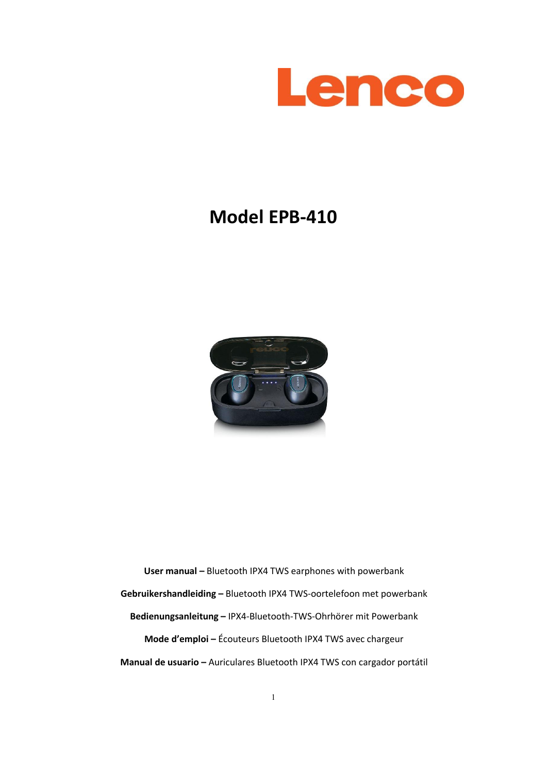

# **Model EPB-410**



**User manual –** Bluetooth IPX4 TWS earphones with powerbank **Gebruikershandleiding –** Bluetooth IPX4 TWS-oortelefoon met powerbank **Bedienungsanleitung –** IPX4-Bluetooth-TWS-Ohrhörer mit Powerbank **Mode d'emploi –** Écouteurs Bluetooth IPX4 TWS avec chargeur **Manual de usuario –**Auriculares Bluetooth IPX4 TWS con cargador portátil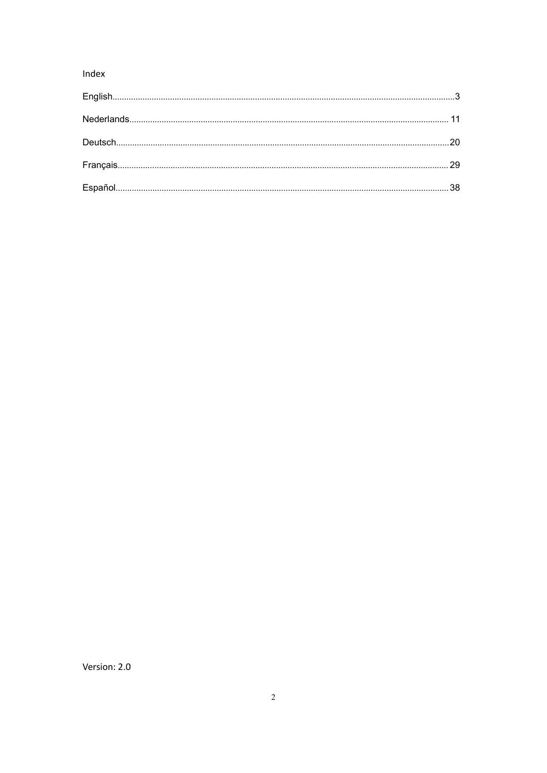# Index

Version: 2.0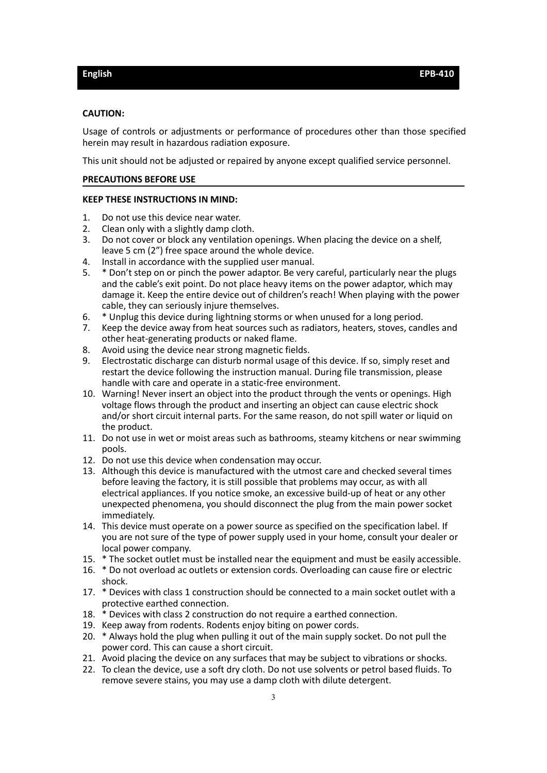#### <span id="page-2-0"></span>**CAUTION:**

Usage of controls or adjustments or performance of procedures other than those specified herein may result in hazardous radiation exposure.

This unit should not be adjusted or repaired by anyone except qualified service personnel.

#### **PRECAUTIONS BEFORE USE**

#### **KEEP THESE INSTRUCTIONS IN MIND:**

- 1. Do not use this device near water.
- 2. Clean only with a slightly damp cloth.
- 3. Do not cover or block any ventilation openings. When placing the device on a shelf, leave 5 cm (2") free space around the whole device.
- 4. Install in accordance with the supplied user manual.
- 5. \* Don't step on or pinch the poweradaptor. Be very careful, particularly near the plugs and the cable's exit point. Do not place heavy items on the poweradaptor, which may damage it. Keep the entire device out of children's reach! When playing with the power cable, they can seriously injure themselves.
- 6. \* Unplug this device during lightning storms or when unused for a long period.
- 7. Keep the device away from heat sources such as radiators, heaters, stoves, candles and other heat-generating products or naked flame.
- 8. Avoid using the device near strong magnetic fields.
- 9. Electrostatic discharge can disturb normal usage of this device. If so, simply reset and restart the device following the instruction manual. During file transmission, please handle with care and operate in a static-free environment.
- 10. Warning! Never insert an object into the product through the vents or openings. High voltage flows through the product and inserting an object can cause electric shock and/or short circuit internal parts. For the same reason, do not spill water or liquid on the product.
- 11. Do not use in wet or moist areas such as bathrooms, steamy kitchens or near swimming pools.
- 12. Do not use this device when condensation may occur.
- 13. Although this device is manufactured with the utmostcare and checked several times before leaving the factory, it is still possible that problems may occur, as with all electrical appliances. If you notice smoke, an excessive build-up of heat or any other unexpected phenomena, you should disconnect the plug from the main power socket immediately.
- 14. This device must operate on a power source as specified on the specification label. If you are not sure of the type of power supply used in your home, consult your dealer or local power company.
- 15. \* The socket outlet must be installed near the equipment and must be easily accessible.
- 16. \* Do not overload ac outlets or extension cords. Overloading can cause fire or electric shock.
- 17. \* Devices with class 1 construction should be connected to a main socket outlet with a protective earthed connection.
- 18. \* Devices with class 2 construction do not require a earthed connection.
- 19. Keep away from rodents. Rodents enjoy biting on power cords.
- 20. \* Always hold the plug when pulling it out of the main supply socket. Do not pull the power cord. This can cause a short circuit.
- 21. Avoid placing the device on any surfaces that may be subject to vibrations or shocks.
- 22. To clean the device, use a soft dry cloth. Do not use solvents or petrol based fluids. To remove severe stains, you may use a damp cloth with dilute detergent.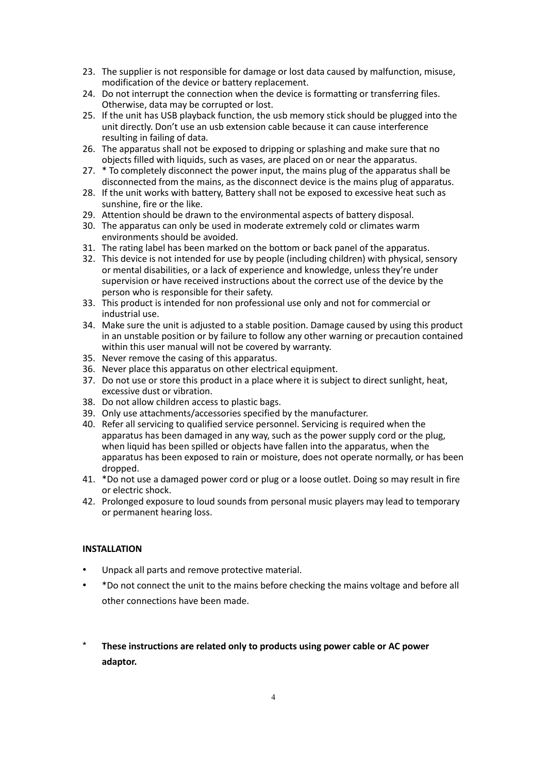- 23. The supplier is not responsible for damage or lost data caused by malfunction, misuse, modification of the device or battery replacement.
- 24. Do not interrupt the connection when the device is formatting or transferring files. Otherwise, data may be corrupted or lost.
- 25. If the unit has USB playback function, the usb memory stick should be plugged into the unit directly. Don't use an usb extension cable because it can cause interference resulting in failing of data.
- 26. The apparatus shall not be exposed to dripping or splashing and make sure that no objects filled with liquids, such as vases, are placed on or near the apparatus.
- 27. \* To completely disconnect the power input, the mains plug of the apparatus shall be disconnected from the mains, as the disconnect device is the mains plug of apparatus.
- 28. If the unit works with battery, Battery shall not be exposed to excessive heat such as sunshine, fire or the like.
- 29. Attention should be drawn to the environmental aspects of battery disposal.30. The apparatus can only be used in moderate extremely cold or climates warm
- environments should be avoided.
- 31. The rating label has been marked on the bottom or back panel of the apparatus.
- 32. This device is not intended for use by people (including children) with physical, sensory or mental disabilities, or a lack of experience and knowledge, unless they're under supervision or have received instructions about the correct use of the device by the person who is responsible for their safety.
- 33. This product is intended for non professional use only and not for commercial or industrial use.
- 34. Make sure the unit is adjusted to a stable position. Damage caused by using this product in an unstable position or by failure to follow any other warning or precaution contained within this user manual will not be covered by warranty.
- 35. Never remove the casing of this apparatus.
- 36. Never place this apparatus on other electrical equipment.
- 37. Do not use or store this product in a place where it is subject to direct sunlight, heat, excessive dust or vibration.
- 38. Do not allow children access to plastic bags.
- 39. Only use attachments/accessories specified by the manufacturer.
- 40. Refer all servicing to qualified service personnel. Servicing is required when the apparatus has been damaged in any way, such as the power supply cord or the plug, when liquid has been spilled or objects have fallen into the apparatus, when the apparatus has been exposed to rain or moisture, does not operate normally, or has been dropped.
- 41. \*Do not use a damaged power cord or plug or a loose outlet. Doing so may result in fire or electric shock.
- 42. Prolonged exposure to loud sounds from personal music players may lead to temporary or permanent hearing loss.

# **INSTALLATION**

- Unpack all parts and remove protective material.
- \*Do not connect the unit to the mains before checking the mains voltage and before all other connections have been made.
- \* **These instructions are related only to products using power cable or AC power adaptor.**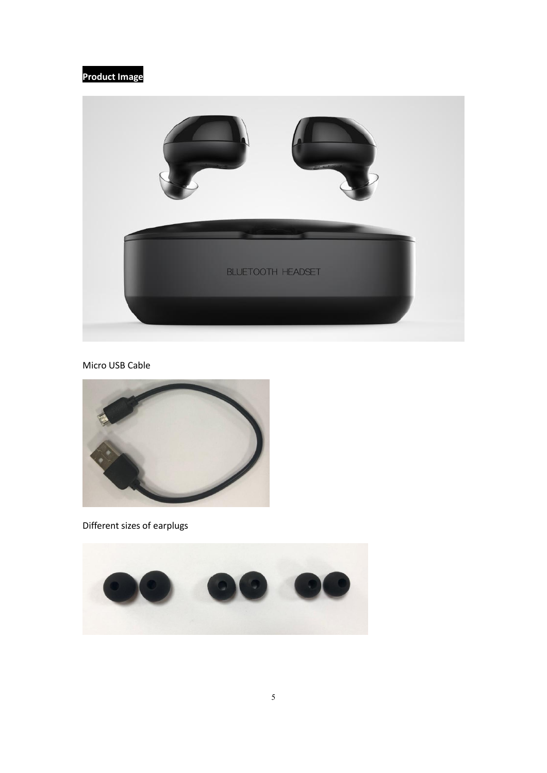# **Product Image**



Micro USB Cable



Different sizes of earplugs

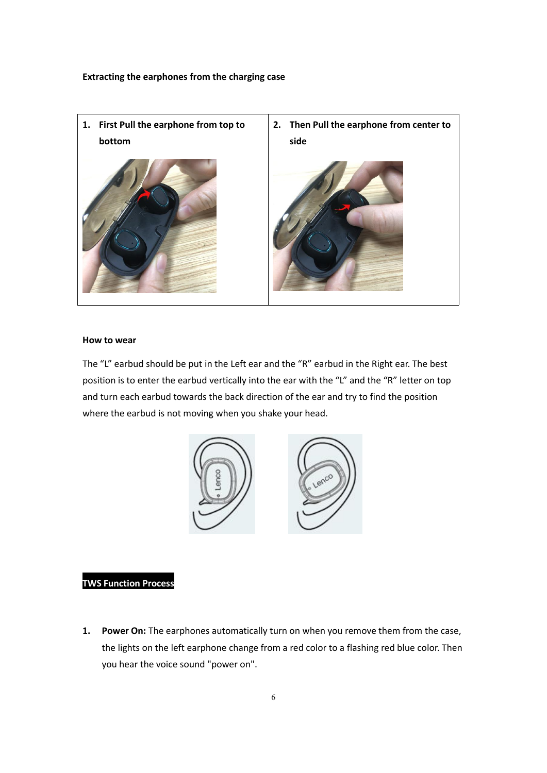**Extracting the earphones from the charging case**



#### **How to wear**

The "L" earbud should be put in the Left ear and the "R" earbud in the Right ear. The best position is to enter the earbud vertically into the ear with the "L" and the "R" letter on top and turn each earbud towards the back direction of the ear and try to find the position where the earbud is not moving when you shake your head.



# **TWS Function Process**

**1. Power On:** The earphones automatically turn on when you remove them from the case, the lights on the left earphone change from a red color to a flashing red blue color. Then you hear the voice sound "power on".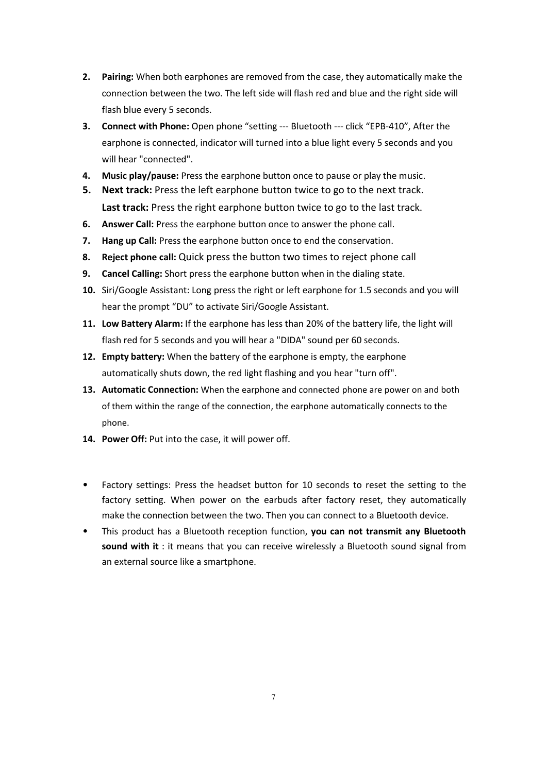- **2. Pairing:** When both earphones are removed from the case, they automatically make the connection between the two. The left side will flash red and blue and the right side will flash blue every 5 seconds.
- **3. Connect with Phone:** Open phone "setting --- Bluetooth --- click "EPB-410", After the earphone is connected, indicator will turned into a blue light every 5 seconds and you will hear "connected".
- **4. Music play/pause:** Press the earphone button once to pause or play the music.
- **5. Next track:** Press the left earphone button twice to go to the next track. **Last track:** Press the right earphone button twice to go to the last track.
- **6. Answer Call:** Press the earphone button once to answer the phone call.
- **7. Hang up Call:** Press the earphone button once to end the conservation.
- **8. Reject phone call:** Quick press the button two times to reject phone call
- **9. Cancel Calling:** Short press the earphone button when in the dialing state.
- **10.** Siri/Google Assistant: Long press the right or left earphone for 1.5 seconds and you will hear the prompt "DU" to activate Siri/Google Assistant.
- **11. Low Battery Alarm:** If the earphone has less than 20% of the battery life, the light will flash red for 5 seconds and you will hear a "DIDA" sound per 60 seconds.
- **12. Empty battery:** When the battery of the earphone is empty, the earphone automatically shuts down, the red light flashing and you hear "turn off".
- **13. Automatic Connection:** When the earphone and connected phone are poweron and both of them within the range of the connection, the earphone automatically connects to the phone.
- **14. Power Off:** Put into the case, it will power off.
- Factory settings: Press the headset button for 10 seconds to reset the setting to the factory setting. When power on the earbuds after factory reset, they automatically make the connection between the two. Then you can connect to a Bluetooth device.
- This product has a Bluetooth reception function, **you can not transmit any Bluetooth sound with it** : it means that you can receive wirelessly a Bluetooth sound signal from an external source like a smartphone.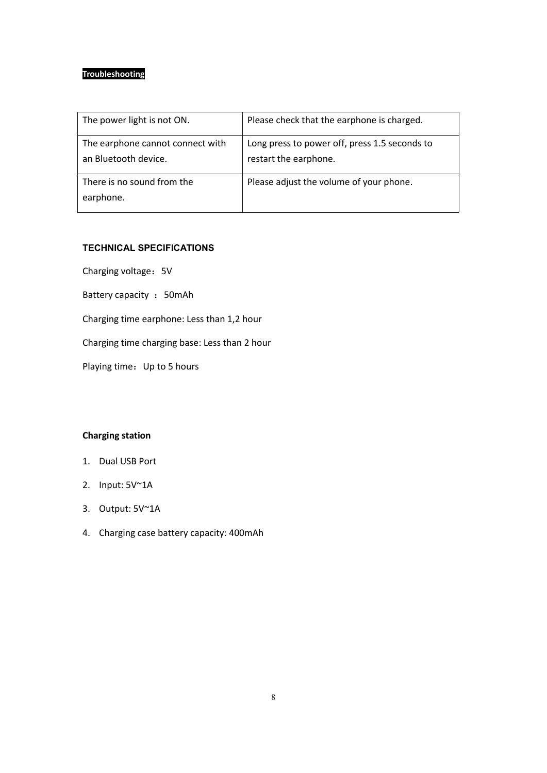# **Troubleshooting**

| The power light is not ON.                               | Please check that the earphone is charged.                             |
|----------------------------------------------------------|------------------------------------------------------------------------|
| The earphone cannot connect with<br>an Bluetooth device. | Long press to power off, press 1.5 seconds to<br>restart the earphone. |
| There is no sound from the<br>earphone.                  | Please adjust the volume of your phone.                                |

# **TECHNICAL SPECIFICATIONS**

Charging voltage: 5V

Battery capacity : 50mAh

Charging time earphone: Less than 1,2 hour

Charging time charging base: Less than 2 hour

Playing time: Up to 5 hours

# **Charging station**

- 1. Dual USB Port
- 2. Input: 5V~1A
- 3. Output: 5V~1A
- 4. Charging case battery capacity: 400mAh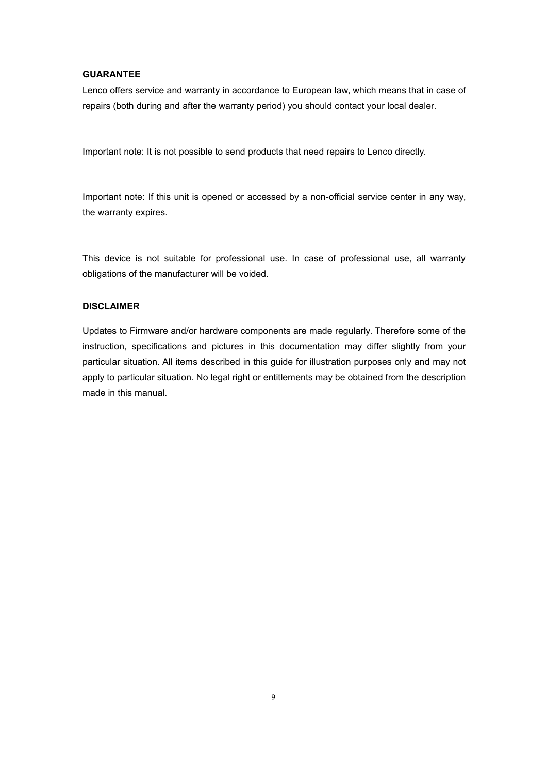#### **GUARANTEE**

Lenco offers service and warranty in accordance to European law, which means that in case of repairs (both during and after the warranty period) you should contact your local dealer.

Important note: It is not possible to send products that need repairs to Lenco directly.

Important note: If this unit is opened or accessed by a non-official service center in any way, the warranty expires.

This device is not suitable for professional use. In case of professional use, all warranty obligations of the manufacturer will be voided.

# **DISCLAIMER**

Updates to Firmware and/or hardware components are made regularly. Therefore some of the instruction, specifications and pictures in this documentation may differ slightly from your particular situation. All items described in this guide for illustration purposes only and may not apply to particular situation. No legal right or entitlements may be obtained from the description made in this manual.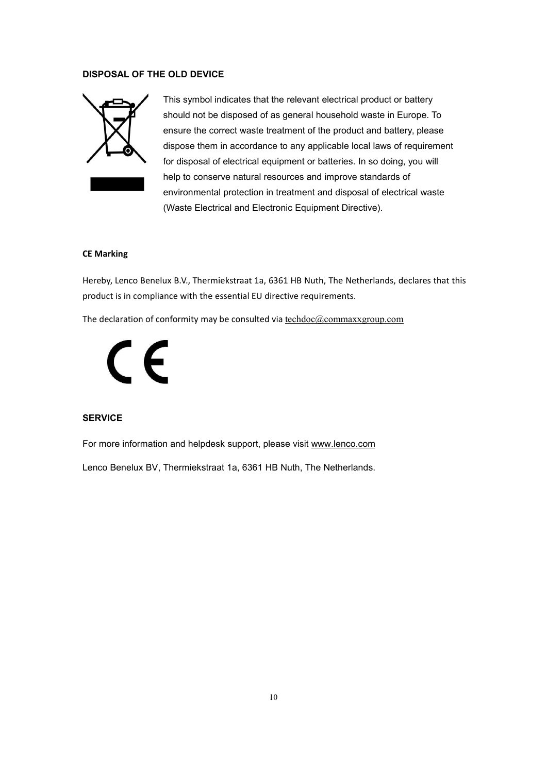#### **DISPOSAL OF THE OLD DEVICE**



This symbol indicates that the relevant electrical product or battery should not be disposed of as general household waste in Europe. To ensure the correct waste treatment of the product and battery, please dispose them in accordance to any applicable local laws of requirement for disposal of electrical equipment or batteries. In so doing, you will help to conserve natural resources and improve standards of environmental protection in treatment and disposal of electrical waste (Waste Electrical and Electronic Equipment Directive).

#### **CE Marking**

Hereby, Lenco Benelux B.V., Thermiekstraat 1a, 6361 HB Nuth, The Netherlands, declares that this product is in compliance with the essential EU directive requirements.

The declaration of conformity may be consulted via [techdoc@commaxxgroup.com](mailto:techdoc@commaxxgroup.com)



# **SERVICE**

For more information and helpdesk support, please visit [www.lenco.com](http://www.lenco.com)

Lenco Benelux BV, Thermiekstraat 1a, 6361 HB Nuth, The Netherlands.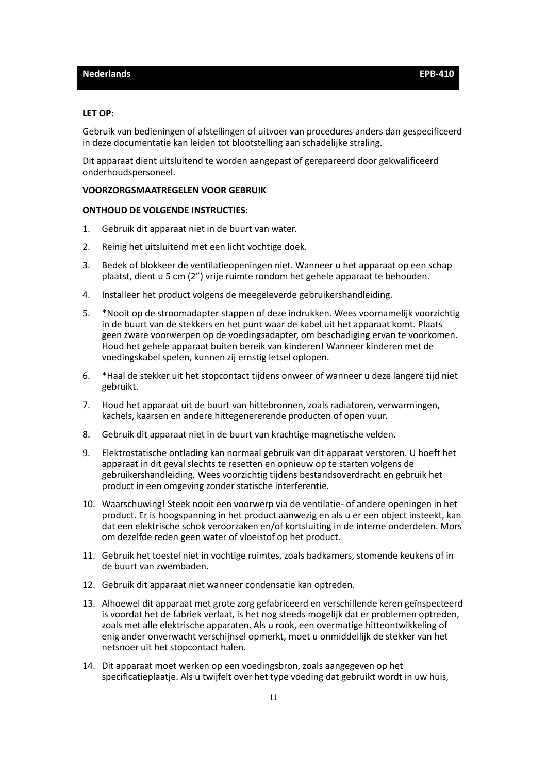#### <span id="page-10-0"></span>**LET OP:**

Gebruik van bedieningen of afstellingen of uitvoer van procedures anders dan gespecificeerd in deze documentatie kan leiden tot blootstelling aan schadelijke straling.

Dit apparaat dient uitsluitend te worden aangepast of gerepareerd door gekwalificeerd onderhoudspersoneel.

#### **VOORZORGSMAATREGELEN VOOR GEBRUIK**

#### **ONTHOUD DE VOLGENDE INSTRUCTIES:**

- 1. Gebruik dit apparaat niet in de buurt van water.
- 2. Reinig het uitsluitend met een licht vochtige doek.
- 3. Bedek of blokkeer de ventilatieopeningen niet. Wanneer u het apparaat op een schap plaatst, dient <sup>u</sup> <sup>5</sup> cm (2") vrije ruimte rondom het gehele apparaat te behouden.4. Installeer het product volgens de meegeleverde gebruikershandleiding.
- 
- 5. \*Nooit op de stroomadapter stappen of deze indrukken. Wees voornamelijk voorzichtig in de buurt van de stekkers en het punt waar de kabel uit het apparaat komt. Plaats geen zware voorwerpen op de voedingsadapter, om beschadiging ervan te voorkomen. Houd het gehele apparaat buiten bereik van kinderen! Wanneer kinderen met de voedingskabel spelen, kunnen zij ernstig letsel oplopen.
- 6. \*Haal de stekker uit het stopcontact tijdens onweer of wanneer u deze langere tijd niet gebruikt.
- 7. Houd het apparaat uit de buurt van hittebronnen, zoals radiatoren, verwarmingen, kachels, kaarsen en andere hittegenererende producten of open vuur.
- 8. Gebruik dit apparaat niet in de buurt van krachtige magnetische velden.
- 9. Elektrostatische ontlading kan normaal gebruik van dit apparaat verstoren. U hoeft het apparaat in dit geval slechts te resetten en opnieuw op te starten volgens de gebruikershandleiding. Wees voorzichtig tijdens bestandsoverdracht en gebruik het product in een omgeving zonder statische interferentie.
- 10. Waarschuwing! Steek nooit een voorwerp via de ventilatie- of andere openingen in het product. Er is hoogspanning in het product aanwezig en als u er een object insteekt, kan dat een elektrische schok veroorzaken en/of kortsluiting in de interne onderdelen. Mors om dezelfde reden geen water of vloeistof op het product.
- 11. Gebruik het toestel niet in vochtige ruimtes, zoals badkamers, stomende keukens of in de buurt van zwembaden.
- 12. Gebruik dit apparaat niet wanneer condensatie kan optreden.
- 13. Alhoewel dit apparaat met grote zorg gefabriceerd en verschillende keren geïnspecteerd is voordat het de fabriek verlaat, is het nog steeds mogelijk dat er problemen optreden, zoals met alle elektrische apparaten. Als u rook, een overmatige hitteontwikkeling of enig ander onverwacht verschijnsel opmerkt, moet u onmiddellijk de stekker van het netsnoer uit het stopcontact halen.
- 14. Dit apparaat moet werken op een voedingsbron, zoals aangegeven op het specificatieplaatje. Als u twijfelt over het type voeding dat gebruikt wordt in uw huis,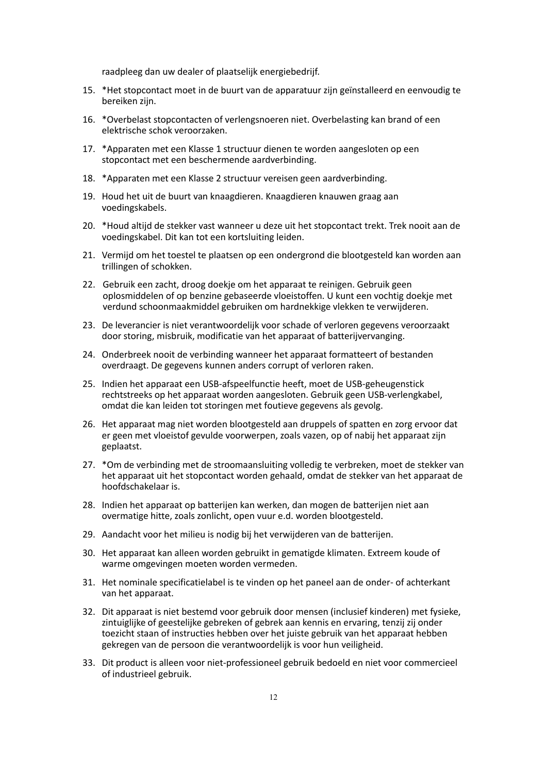raadpleeg dan uw dealer of plaatselijk energiebedrijf.

- 15. \*Het stopcontact moet in de buurt van de apparatuur zijn geïnstalleerd en eenvoudig te bereiken zijn.
- 16. \*Overbelast stopcontacten of verlengsnoeren niet. Overbelasting kan brand of een elektrische schok veroorzaken.
- 17. \*Apparaten met een Klasse 1 structuur dienen te worden aangesloten op een stopcontact met een beschermende aardverbinding.
- 18. \*Apparaten met een Klasse 2 structuur vereisen geen aardverbinding.
- 19. Houd het uit de buurt van knaagdieren. Knaagdieren knauwen graag aan voedingskabels.
- 20. \*Houd altijd de stekker vast wanneer u deze uit het stopcontact trekt. Trek nooit aan de voedingskabel. Dit kan tot een kortsluiting leiden.
- 21. Vermijd om het toestel te plaatsen op een ondergrond die blootgesteld kan worden aan trillingen of schokken.
- 22. Gebruik een zacht, droog doekje om het apparaat te reinigen. Gebruik geen oplosmiddelen of op benzine gebaseerde vloeistoffen. U kunt een vochtig doekje met verdund schoonmaakmiddel gebruiken om hardnekkige vlekken te verwijderen.
- 23. De leverancier is niet verantwoordelijk voorschade of verloren gegevens veroorzaakt door storing, misbruik, modificatie van het apparaat of batterijvervanging.
- 24. Onderbreek nooit de verbinding wanneer het apparaat formatteert of bestanden overdraagt. De gegevens kunnen anders corrupt of verloren raken.
- 25. Indien het apparaat een USB-afspeelfunctie heeft, moet de USB-geheugenstick rechtstreeks op het apparaat worden aangesloten. Gebruik geen USB-verlengkabel, omdat die kan leiden tot storingen met foutieve gegevens als gevolg.
- 26. Het apparaat mag niet worden blootgesteld aan druppels of spatten en zorg ervoor dat er geen met vloeistof gevulde voorwerpen, zoals vazen, op of nabij het apparaat zijn geplaatst.
- 27. \*Om de verbinding met de stroomaansluiting volledig te verbreken, moet de stekker van het apparaat uit het stopcontact worden gehaald, omdat de stekker van het apparaat de hoofdschakelaar is.
- 28. Indien het apparaat op batterijen kan werken, dan mogen de batterijen niet aan overmatige hitte, zoals zonlicht, open vuur e.d. worden blootgesteld.
- 29. Aandacht voor het milieu is nodig bij het verwijderen van de batterijen.
- 30. Het apparaat kan alleen worden gebruikt in gematigde klimaten. Extreem koude of warme omgevingen moeten worden vermeden.
- 31. Het nominale specificatielabel is te vinden op het paneel aan de onder- of achterkant van het apparaat.
- 32. Dit apparaat is niet bestemd voor gebruik door mensen (inclusief kinderen) met fysieke, zintuiglijke of geestelijke gebreken of gebrek aan kennis en ervaring, tenzij zij onder toezicht staan of instructies hebben over het juiste gebruik van het apparaat hebben gekregen van de persoon die verantwoordelijk is voor hun veiligheid.
- 33. Dit product is alleen voor niet-professioneel gebruik bedoeld en niet voor commercieel of industrieel gebruik.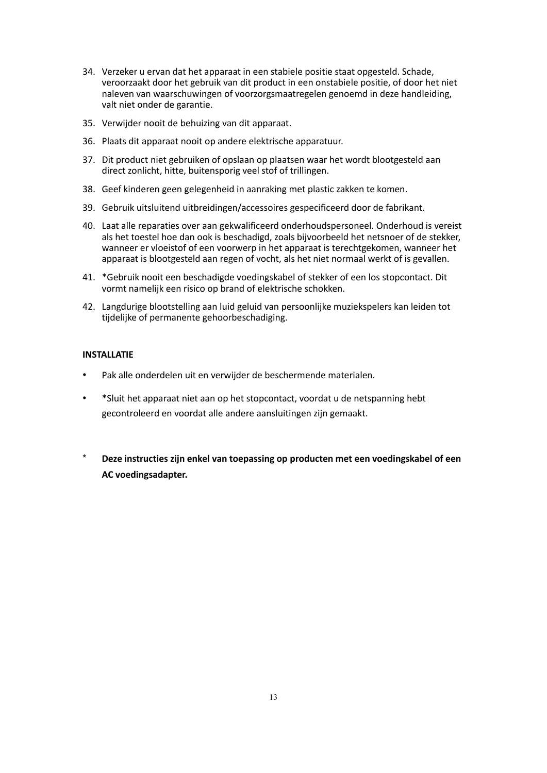- 34. Verzeker u ervan dat het apparaat in een stabiele positie staat opgesteld. Schade, veroorzaakt door het gebruik van dit product in een onstabiele positie, of door het niet naleven van waarschuwingen of voorzorgsmaatregelen genoemd in deze handleiding, valt niet onder de garantie.
- 35. Verwijder nooit de behuizing van dit apparaat.
- 36. Plaats dit apparaat nooit op andere elektrische apparatuur.
- 37. Dit product niet gebruiken of opslaan op plaatsen waar het wordt blootgesteld aan direct zonlicht, hitte, buitensporig veel stof of trillingen.
- 38. Geef kinderen geen gelegenheid in aanraking met plastic zakken te komen.
- 39. Gebruik uitsluitend uitbreidingen/accessoires gespecificeerd door de fabrikant.
- 40. Laat alle reparaties over aan gekwalificeerd onderhoudspersoneel. Onderhoud is vereist als het toestel hoe dan ook is beschadigd, zoals bijvoorbeeld het netsnoer of de stekker, wanneer er vloeistof of een voorwerp in het apparaat is terechtgekomen, wanneer het apparaat is blootgesteld aan regen of vocht, als het niet normaal werkt of is gevallen.
- 41. \*Gebruik nooit een beschadigde voedingskabel of stekker of een los stopcontact. Dit vormt namelijk een risico op brand of elektrische schokken.
- 42. Langdurige blootstelling aan luid geluid van persoonlijke muziekspelers kan leiden tot tijdelijke of permanente gehoorbeschadiging.

# **INSTALLATIE**

- Pak alle onderdelen uit en verwijder de beschermende materialen.
- \*Sluit het apparaat niet aan op het stopcontact, voordat u de netspanning hebt gecontroleerd en voordat alle andere aansluitingen zijn gemaakt.
- \* **Deze instructies zijn enkel van toepassing op producten met een voedingskabel of een AC voedingsadapter.**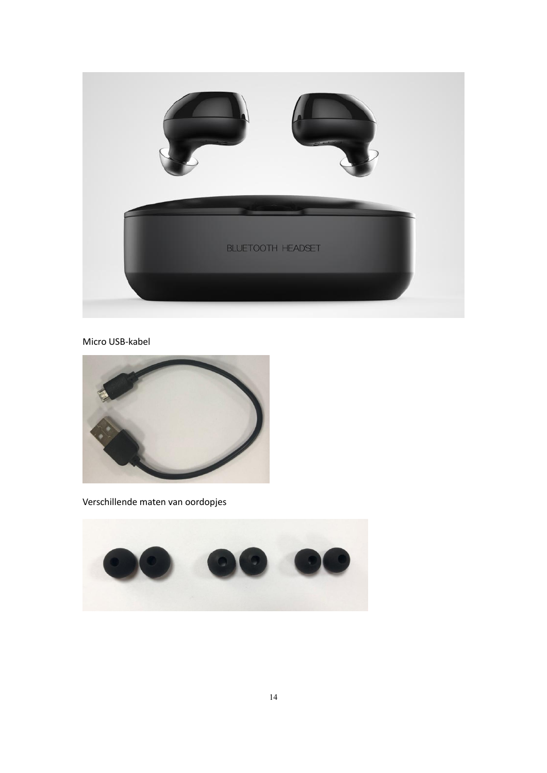

# Micro USB-kabel



Verschillende maten van oordopjes

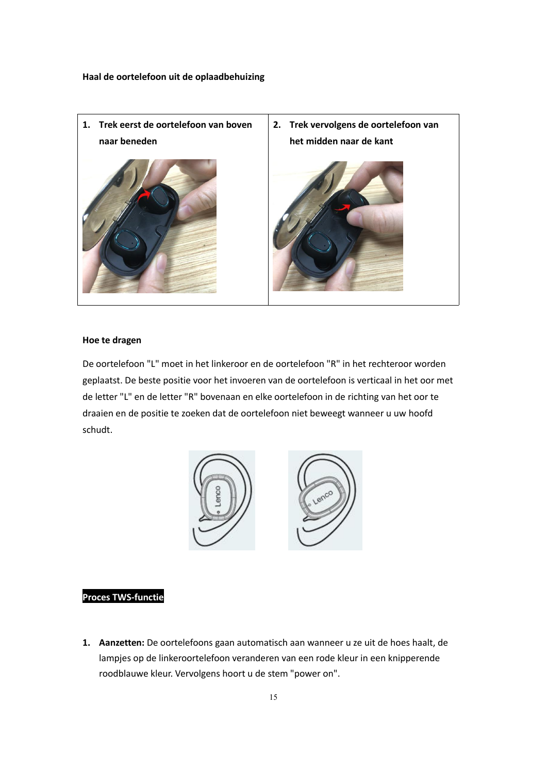

#### **Hoe te dragen**

De oortelefoon "L" moet in het linkeroor en de oortelefoon "R" in het rechteroor worden geplaatst. De beste positie voor het invoeren van de oortelefoon is verticaal in het oor met de letter "L" en de letter "R" bovenaan en elke oortelefoon in de richting van het oor te draaien en de positie te zoeken dat de oortelefoon niet beweegt wanneer u uw hoofd schudt.



## **Proces TWS-functie**

**1. Aanzetten:** De oortelefoons gaan automatisch aan wanneer u ze uit de hoes haalt, de lampjes op de linkeroortelefoon veranderen van een rode kleur in een knipperende roodblauwe kleur. Vervolgens hoort u de stem "power on".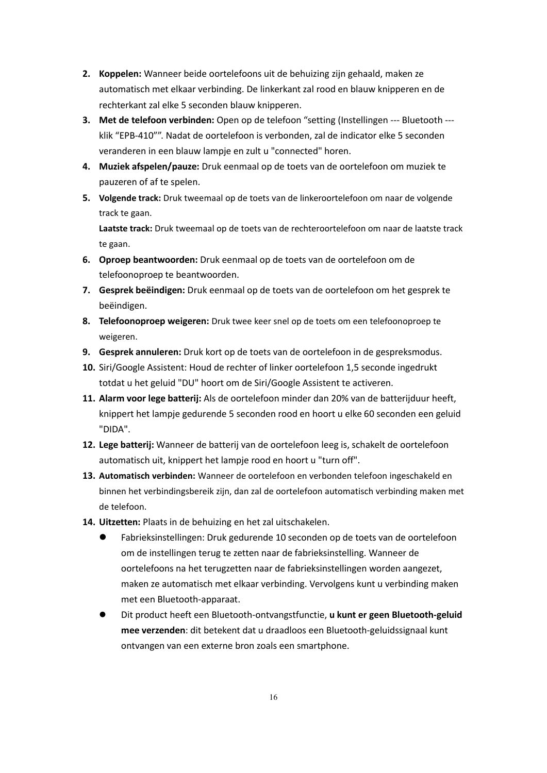- **2. Koppelen:** Wanneer beide oortelefoons uit de behuizing zijn gehaald, maken ze automatisch met elkaar verbinding. De linkerkant zal rood en blauw knipperen en de rechterkant zal elke 5 seconden blauw knipperen.
- **3. Met de telefoon verbinden:** Open op de telefoon "setting (Instellingen --- Bluetooth -- klik "EPB-410"". Nadat de oortelefoon is verbonden, zal de indicator elke 5 seconden veranderen in een blauw lampje en zult u "connected" horen.
- **4. Muziek afspelen/pauze:** Druk eenmaal op de toets van de oortelefoon om muziek te pauzeren of af te spelen.
- **5. Volgende track:** Druk tweemaalop de toets van de linkeroortelefoon om naar de volgende track te gaan.

**Laatste track:** Druk tweemaalop de toets van de rechteroortelefoon om naar de laatste track te gaan.

- **6. Oproep beantwoorden:** Druk eenmaal op de toets van de oortelefoon om de telefoonoproep te beantwoorden.
- **7. Gesprek beëindigen:** Druk eenmaal op de toets van de oortelefoon om het gesprek te beëindigen.
- **8. Telefoonoproep weigeren:** Druk twee keer snel op de toets om een telefoonoproep te weigeren.
- **9. Gesprek annuleren:** Druk kort op de toets van de oortelefoon in de gespreksmodus.
- **10.** Siri/Google Assistent: Houd de rechter of linker oortelefoon 1,5 seconde ingedrukt totdat u het geluid "DU" hoort om de Siri/Google Assistent te activeren.
- **11. Alarm voor lege batterij:** Als de oortelefoon minder dan 20% van de batterijduur heeft, knippert het lampje gedurende 5 seconden rood en hoort u elke 60 seconden een geluid "DIDA".
- **12. Lege batterij:** Wanneer de batterij van de oortelefoon leeg is, schakelt de oortelefoon automatisch uit, knippert het lampje rood en hoort u "turn off".
- **13. Automatisch verbinden:** Wanneer de oortelefoon en verbonden telefoon ingeschakeld en binnen het verbindingsbereik zijn, dan zal de oortelefoon automatisch verbinding maken met de telefoon.
- **14. Uitzetten:** Plaats in de behuizing en het zal uitschakelen.
	- Fabrieksinstellingen: Druk gedurende 10 seconden op de toets van de oortelefoon om de instellingen terug te zetten naar de fabrieksinstelling. Wanneer de oortelefoons na het terugzetten naar de fabrieksinstellingen worden aangezet, maken ze automatisch met elkaar verbinding. Vervolgens kunt u verbinding maken met een Bluetooth-apparaat.
	- Dit product heeft een Bluetooth-ontvangstfunctie, **u kunt er geen Bluetooth-geluid mee verzenden**: dit betekent dat u draadloos een Bluetooth-geluidssignaal kunt ontvangen van een externe bron zoals een smartphone.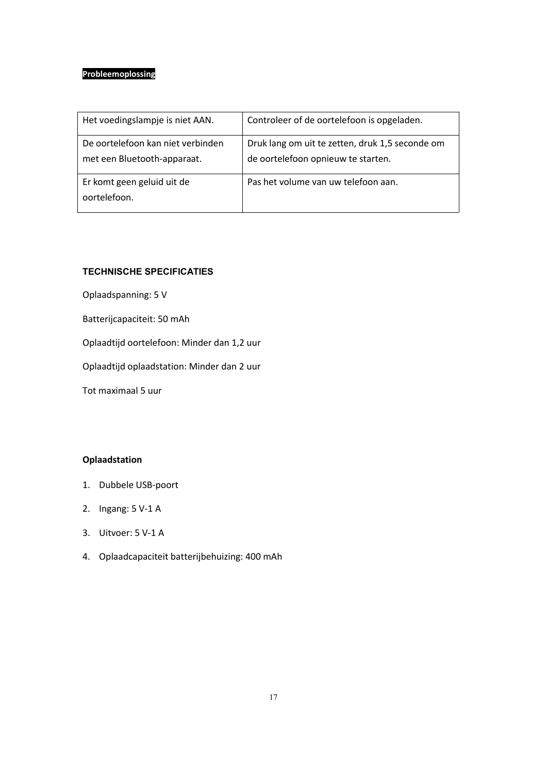# **Probleemoplossing**

| Het voedingslampje is niet AAN.                                  | Controleer of de oortelefoon is opgeladen.                                            |
|------------------------------------------------------------------|---------------------------------------------------------------------------------------|
| De oortelefoon kan niet verbinden<br>met een Bluetooth-apparaat. | Druk lang om uit te zetten, druk 1,5 seconde om<br>de oortelefoon opnieuw te starten. |
| Er komt geen geluid uit de<br>oortelefoon.                       | Pas het volume van uw telefoon aan.                                                   |

# **TECHNISCHE SPECIFICATIES**

Oplaadspanning: 5 V

Batterijcapaciteit: 50 mAh

Oplaadtijd oortelefoon: Minder dan 1,2 uur

Oplaadtijd oplaadstation: Minder dan 2 uur

Tot maximaal 5 uur

# **Oplaadstation**

- 1. Dubbele USB-poort
- 2. Ingang: 5 V-1 A
- 3. Uitvoer: 5 V-1 A
- 4. Oplaadcapaciteit batterijbehuizing: 400 mAh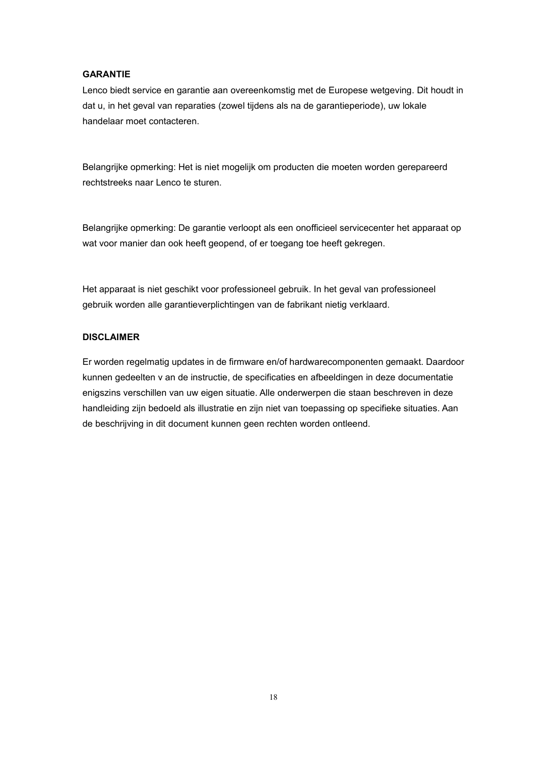#### **GARANTIE**

Lenco biedt service en garantie aan overeenkomstig met de Europese wetgeving. Dit houdt in dat u, in het geval van reparaties (zowel tijdens als na de garantieperiode), uw lokale handelaar moet contacteren.

Belangrijke opmerking: Het is niet mogelijk om producten die moeten worden gerepareerd rechtstreeks naar Lenco te sturen.

Belangrijke opmerking:De garantie verloopt als een onofficieel servicecenter het apparaat op wat voor manier dan ook heeft geopend, of er toegang toe heeft gekregen.

Het apparaat is niet geschikt voor professioneel gebruik. In het geval van professioneel gebruik worden alle garantieverplichtingen van de fabrikant nietig verklaard.

# **DISCLAIMER**

Er worden regelmatig updates in de firmware en/of hardwarecomponenten gemaakt. Daardoor kunnen gedeelten v an de instructie, de specificaties en afbeeldingen in deze documentatie enigszins verschillen van uw eigen situatie. Alle onderwerpen die staan beschreven in deze handleiding zijn bedoeld als illustratie en zijn niet van toepassing op specifieke situaties. Aan de beschrijving in dit document kunnen geen rechten worden ontleend.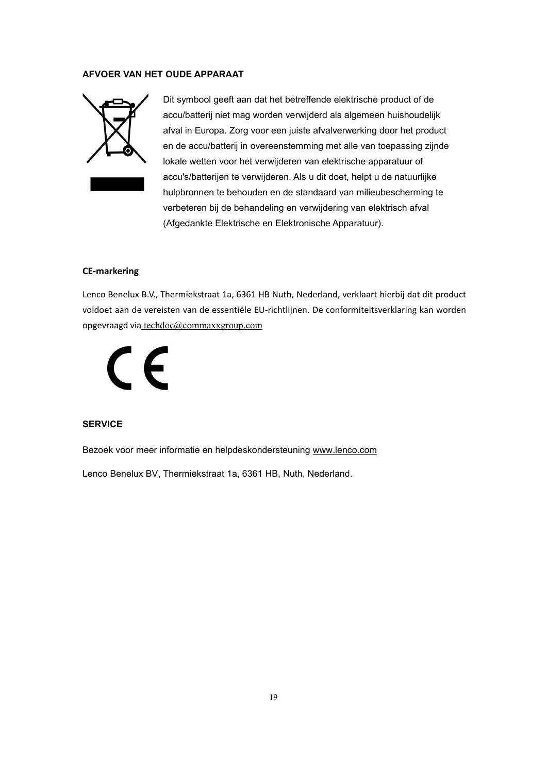#### **AFVOER VAN HET OUDE APPARAAT**



Dit symbool geeft aan dat het betreffende elektrische product of de accu/batterij niet mag worden verwijderd als algemeen huishoudelijk afval in Europa. Zorg voor een juiste afvalverwerking door het product en de accu/batterij in overeenstemming met alle van toepassing zijnde lokale wetten voor het verwijderen van elektrische apparatuur of accu's/batterijen te verwijderen. Als u dit doet, helpt u de natuurlijke hulpbronnen te behouden en de standaard van milieubescherming te verbeteren bij de behandeling en verwijdering van elektrisch afval (Afgedankte Elektrische en Elektronische Apparatuur).

#### **CE-markering**

Lenco Benelux B.V., Thermiekstraat 1a, 6361 HB Nuth, Nederland, verklaart hierbij dat dit product voldoet aan de vereisten van de essentiële EU-richtlijnen. De conformiteitsverklaring kan worden opgevraagd via [techdoc@commaxxgroup.com](mailto:techdoc@commaxxgroup.com)



# **SERVICE**

Bezoek voor meer informatie en helpdeskondersteuning [www.lenco.com](http://www.lenco.com/)

Lenco Benelux BV, Thermiekstraat 1a, 6361 HB, Nuth, Nederland.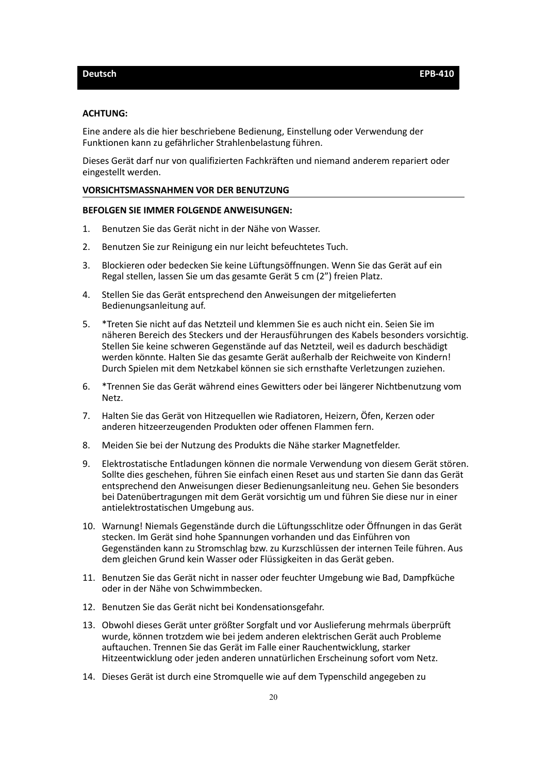#### <span id="page-19-0"></span>**ACHTUNG:**

Eine andere als die hier beschriebene Bedienung, Einstellung oder Verwendung der Funktionen kann zu gefährlicher Strahlenbelastung führen.

Dieses Gerät darf nur von qualifizierten Fachkräften und niemand anderem repariert oder eingestellt werden.

#### **VORSICHTSMASSNAHMEN VOR DER BENUTZUNG**

#### **BEFOLGEN SIE IMMER FOLGENDE ANWEISUNGEN:**

- 1. Benutzen Sie das Gerät nicht in der Nähe von Wasser.
- 2. Benutzen Sie zur Reinigung ein nur leicht befeuchtetes Tuch.
- 3. Blockieren oder bedecken Sie keine Lüftungsöffnungen. Wenn Sie das Gerät auf ein Regal stellen, lassen Sie um das gesamte Gerät 5 cm (2") freien Platz.
- 4. Stellen Sie das Gerät entsprechend den Anweisungen der mitgelieferten Bedienungsanleitung auf.
- 5. \*Treten Sie nicht auf das Netzteil und klemmen Sie es auch nicht ein. Seien Sie im näheren Bereich des Steckers und der Herausführungen des Kabels besonders vorsichtig. Stellen Sie keine schweren Gegenstände auf das Netzteil, weil es dadurch beschädigt werden könnte. Halten Sie das gesamte Gerät außerhalb der Reichweite von Kindern! Durch Spielen mit dem Netzkabel können sie sich ernsthafte Verletzungen zuziehen.
- 6. \*Trennen Sie das Gerät während eines Gewitters oder bei längerer Nichtbenutzung vom Netz.
- 7. Halten Sie das Gerät von Hitzequellen wie Radiatoren, Heizern, Öfen, Kerzen oder anderen hitzeerzeugenden Produkten oder offenen Flammen fern.
- 8. Meiden Sie bei der Nutzung des Produkts die Nähe starker Magnetfelder.
- 9. Elektrostatische Entladungen können die normale Verwendung von diesem Gerät stören. Sollte dies geschehen, führen Sie einfach einen Reset aus und starten Sie dann das Gerät entsprechend den Anweisungen dieser Bedienungsanleitung neu. Gehen Sie besonders bei Datenübertragungen mit dem Gerät vorsichtig um und führen Sie diese nur in einer antielektrostatischen Umgebung aus.
- 10. Warnung! Niemals Gegenstände durch die Lüftungsschlitze oder Öffnungen in das Gerät stecken. Im Gerät sind hohe Spannungen vorhanden und das Einführen von Gegenständen kann zu Stromschlag bzw. zu Kurzschlüssen der internen Teile führen. Aus dem gleichen Grund kein Wasser oder Flüssigkeiten in das Gerät geben.
- 11. Benutzen Sie das Gerät nicht in nasser oder feuchter Umgebung wie Bad, Dampfküche oder in der Nähe von Schwimmbecken.
- 12. Benutzen Sie das Gerät nicht bei Kondensationsgefahr.
- 13. Obwohl dieses Gerät unter größter Sorgfalt und vor Auslieferung mehrmals überprüft wurde, können trotzdem wie bei jedem anderen elektrischen Gerät auch Probleme auftauchen. Trennen Sie das Gerät im Falle einer Rauchentwicklung, starker Hitzeentwicklung oder jeden anderen unnatürlichen Erscheinung sofort vom Netz.
- 14. Dieses Gerät ist durch eine Stromquelle wie auf dem Typenschild angegeben zu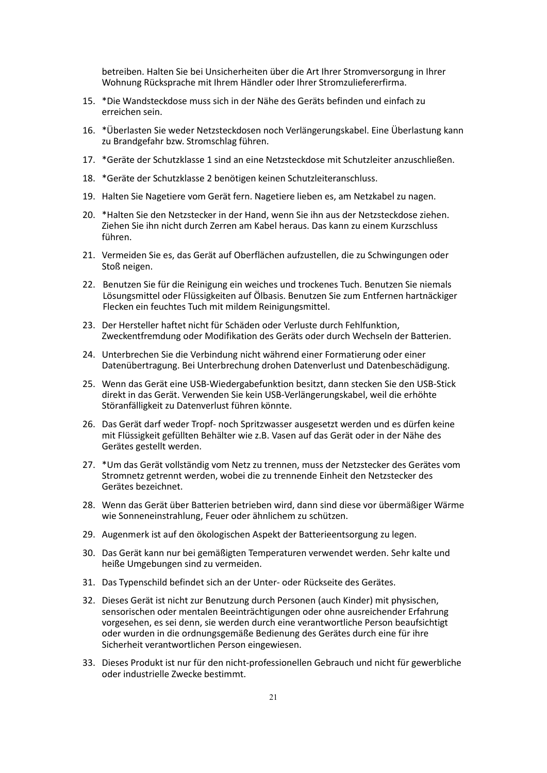betreiben. Halten Sie bei Unsicherheiten über die Art Ihrer Stromversorgung in Ihrer Wohnung Rücksprache mit Ihrem Händler oder Ihrer Stromzuliefererfirma.

- 15. \*Die Wandsteckdose muss sich in der Nähe des Geräts befinden und einfach zu erreichen sein.
- 16. \* Überlasten Sie weder Netzsteckdosen noch Verlängerungskabel. Eine Überlastung kann zu Brandgefahr bzw. Stromschlag führen.
- 17. \*Geräte der Schutzklasse 1 sind an eine Netzsteckdose mit Schutzleiter anzuschließen.
- 18. \*Geräte der Schutzklasse 2 benötigen keinen Schutzleiteranschluss.
- 19. Halten Sie Nagetiere vom Gerät fern. Nagetiere lieben es, am Netzkabel zu nagen.
- 20. \*Halten Sie den Netzstecker in der Hand, wenn Sie ihn aus der Netzsteckdose ziehen. Ziehen Sie ihn nicht durch Zerren am Kabel heraus. Das kann zu einem Kurzschluss führen.
- 21. Vermeiden Sie es, das Gerät auf Oberflächen aufzustellen, die zu Schwingungen oder Stoß neigen.
- 22. Benutzen Sie für die Reinigung ein weiches und trockenes Tuch. Benutzen Sie niemals Lösungsmittel oder Flüssigkeiten auf Ölbasis. Benutzen Sie zum Entfernen hartnäckiger Flecken ein feuchtes Tuch mit mildem Reinigungsmittel.
- 23. Der Hersteller haftet nicht für Schäden oder Verluste durch Fehlfunktion, Zweckentfremdung oder Modifikation des Geräts oder durch Wechseln der Batterien.
- 24. Unterbrechen Sie die Verbindung nicht während einer Formatierung oder einer Datenübertragung. Bei Unterbrechung drohen Datenverlust und Datenbeschädigung.
- 25. Wenn das Gerät eine USB-Wiedergabefunktion besitzt, dann stecken Sie den USB-Stick direkt in das Gerät. Verwenden Sie kein USB-Verlängerungskabel, weil die erhöhte Störanfälligkeit zu Datenverlust führen könnte.
- 26. Das Gerät darf weder Tropf- noch Spritzwasser ausgesetzt werden und es dürfen keine mit Flüssigkeit gefüllten Behälter wie z.B. Vasen auf das Gerät oder in der Nähe des Gerätes gestellt werden.
- 27. \*Um das Gerät vollständig vom Netz zu trennen, muss der Netzstecker des Gerätes vom Stromnetz getrennt werden, wobei die zu trennende Einheit den Netzstecker des Gerätes bezeichnet.
- 28. Wenn das Gerät über Batterien betrieben wird, dann sind diese vor übermäßiger Wärme wie Sonneneinstrahlung, Feuer oder ähnlichem zu schützen.
- 29. Augenmerk ist auf den ökologischen Aspekt der Batterieentsorgung zu legen.
- 30. Das Gerät kann nur bei gemäßigten Temperaturen verwendet werden. Sehr kalte und heiße Umgebungen sind zu vermeiden.
- 31. Das Typenschild befindet sich an der Unter- oder Rückseite des Gerätes.
- 32. Dieses Gerät ist nicht zur Benutzung durch Personen (auch Kinder) mit physischen, sensorischen oder mentalen Beeinträchtigungen oder ohne ausreichender Erfahrung vorgesehen, es sei denn, sie werden durch eine verantwortliche Person beaufsichtigt oder wurden in die ordnungsgemäße Bedienung des Gerätes durch eine fürihre Sicherheit verantwortlichen Person eingewiesen.
- 33. Dieses Produkt ist nur für den nicht-professionellen Gebrauch und nicht für gewerbliche oder industrielle Zwecke bestimmt.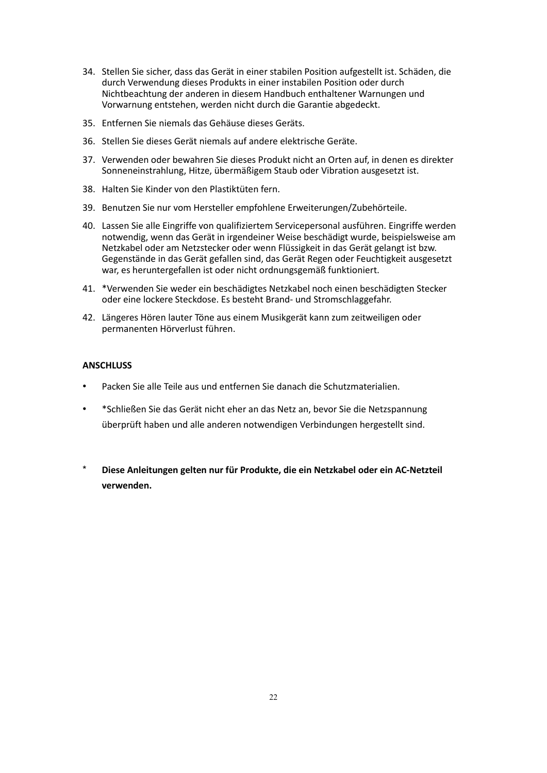- 34. Stellen Sie sicher, dass das Gerät in einer stabilen Position aufgestellt ist. Schäden, die durch Verwendung dieses Produkts in einer instabilen Position oder durch Nichtbeachtung der anderen in diesem Handbuch enthaltener Warnungen und Vorwarnung entstehen, werden nicht durch die Garantie abgedeckt.35. Entfernen Sie niemals das Gehäuse dieses Geräts.
- 
- 36. Stellen Sie dieses Gerät niemals auf andere elektrische Geräte.
- 37. Verwenden oder bewahren Sie dieses Produkt nicht an Orten auf, in denen es direkter Sonneneinstrahlung, Hitze, übermäßigem Staub oder Vibration ausgesetzt ist.
- 38. Halten Sie Kinder von den Plastiktüten fern.
- 39. Benutzen Sie nur vom Hersteller empfohlene Erweiterungen/Zubehörteile.
- 40. Lassen Sie alle Eingriffe von qualifiziertem Servicepersonal ausführen. Eingriffe werden notwendig, wenn das Gerät in irgendeiner Weise beschädigt wurde, beispielsweise am Netzkabel oder am Netzstecker oder wenn Flüssigkeit in das Gerät gelangt ist bzw. Gegenstände in das Gerät gefallen sind, das Gerät Regen oder Feuchtigkeit ausgesetzt war, es heruntergefallen ist oder nicht ordnungsgemäß funktioniert.
- 41. \*Verwenden Sie wederein beschädigtes Netzkabel noch einen beschädigten Stecker oder eine lockere Steckdose. Es besteht Brand- und Stromschlaggefahr.
- 42. Längeres Hören lauter Töne aus einem Musikgerät kann zum zeitweiligen oder permanenten Hörverlust führen.

#### **ANSCHLUSS**

- Packen Sie alle Teile aus und entfernen Sie danach die Schutzmaterialien.
- \*Schließen Sie das Gerät nicht eher an das Netz an, bevor Sie die Netzspannung überprüft haben und alle anderen notwendigen Verbindungen hergestellt sind.
- \* **Diese Anleitungen gelten nur für Produkte, die ein Netzkabel oder ein AC-Netzteil verwenden.**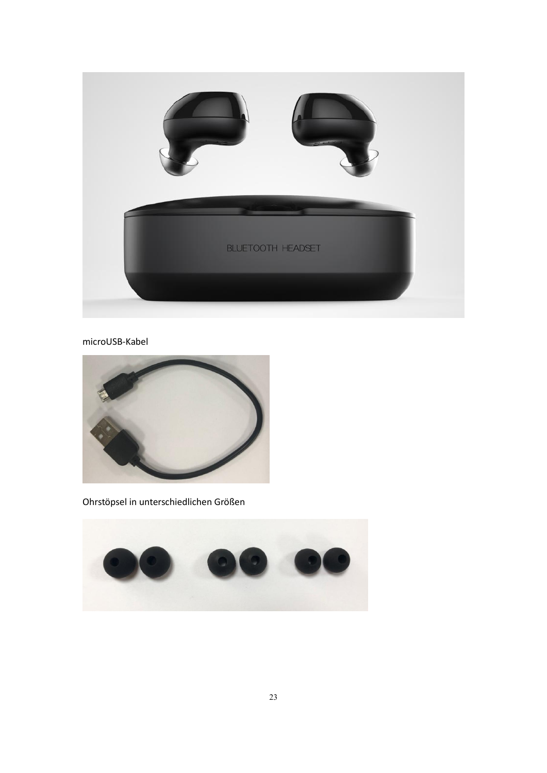

# microUSB-Kabel



Ohrstöpsel in unterschiedlichen Größen

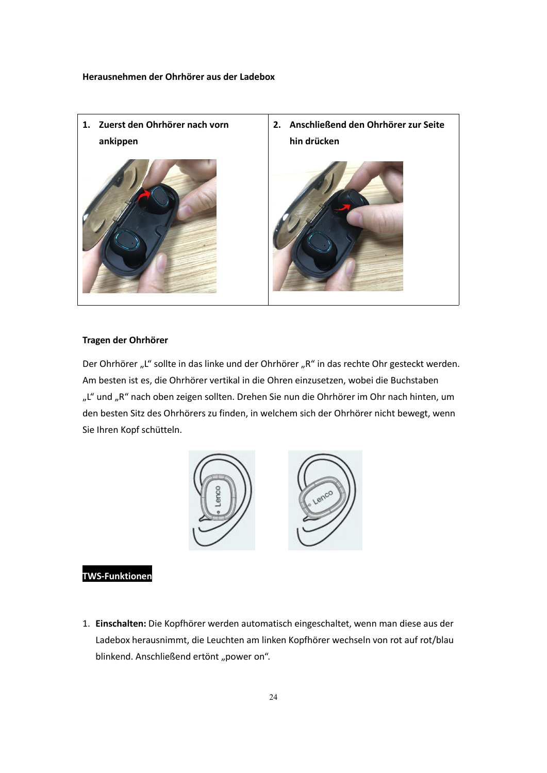**Herausnehmen der Ohrhörer aus der Ladebox**



#### **Tragen der Ohrhörer**

Der Ohrhörer "L" sollte in das linke und der Ohrhörer "R" in das rechte Ohr gesteckt werden. Am besten ist es, die Ohrhörer vertikal in die Ohren einzusetzen, wobei die Buchstaben "L" und "R" nach oben zeigen sollten. Drehen Sie nun die Ohrhörer im Ohr nach hinten, um den besten Sitz des Ohrhörers zu finden, in welchem sich der Ohrhörer nicht bewegt, wenn Sie Ihren Kopf schütteln.



# **TWS-Funktionen**

1. **Einschalten:** Die Kopfhörer werden automatisch eingeschaltet, wenn man diese aus der Ladebox herausnimmt, die Leuchten am linken Kopfhörer wechseln von rot auf rot/blau blinkend. Anschließend ertönt "power on".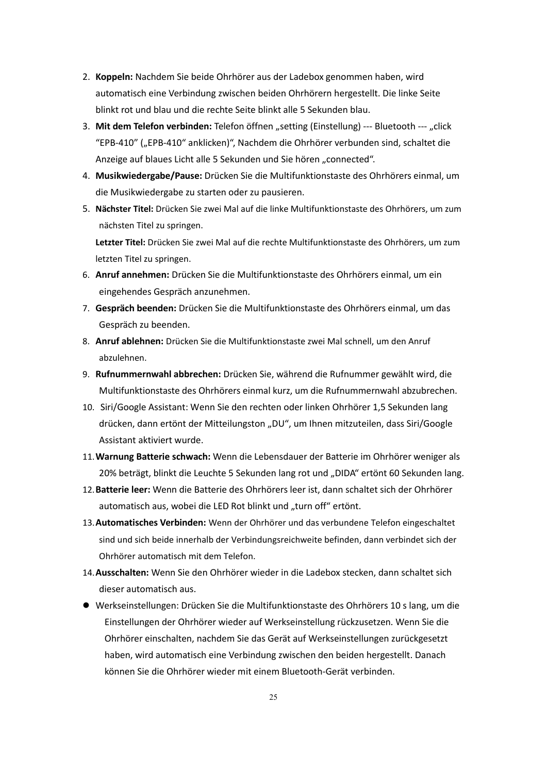- 2. **Koppeln:** Nachdem Sie beide Ohrhörer aus der Ladebox genommen haben, wird automatisch eine Verbindung zwischen beiden Ohrhörern hergestellt. Die linke Seite blinkt rot und blau und die rechte Seite blinkt alle 5 Sekunden blau.
- 3. **Mit dem Telefon verbinden:** Telefon öffnen "setting (Einstellung) --- Bluetooth --- "click "EPB-410" ("EPB-410" anklicken)", Nachdem die Ohrhörer verbunden sind, schaltet die Anzeige auf blaues Licht alle 5 Sekunden und Sie hören "connected".
- 4. **Musikwiedergabe/Pause:** Drücken Sie die Multifunktionstaste des Ohrhörers einmal, um die Musikwiedergabe zu starten oder zu pausieren.
- 5. **Nächster Titel:** Drücken Sie zwei Mal auf die linke Multifunktionstaste des Ohrhörers, um zum nächsten Titel zu springen.

**Letzter Titel:** Drücken Sie zwei Mal auf die rechte Multifunktionstaste des Ohrhörers, um zum letzten Titel zu springen.

- 6. **Anruf annehmen:** Drücken Sie die Multifunktionstaste des Ohrhörers einmal, um ein eingehendes Gespräch anzunehmen.
- 7. **Gespräch beenden:** Drücken Sie die Multifunktionstaste des Ohrhörers einmal, um das Gespräch zu beenden.
- 8. **Anruf ablehnen:** Drücken Sie die Multifunktionstaste zwei Mal schnell, um den Anruf abzulehnen.
- 9. **Rufnummernwahl abbrechen:** Drücken Sie, während die Rufnummer gewählt wird, die Multifunktionstaste des Ohrhörers einmal kurz, um die Rufnummernwahl abzubrechen.
- 10. Siri/Google Assistant: Wenn Sie den rechten oder linken Ohrhörer 1,5 Sekunden lang drücken, dann ertönt der Mitteilungston "DU", um Ihnen mitzuteilen, dass Siri/Google Assistant aktiviert wurde.
- 11.**Warnung Batterie schwach:** Wenn die Lebensdauer der Batterie im Ohrhörer weniger als 20% beträgt, blinkt die Leuchte 5 Sekunden lang rot und "DIDA" ertönt 60 Sekunden lang.
- 12.**Batterie leer:** Wenn die Batterie des Ohrhörers leer ist, dann schaltet sich der Ohrhörer automatisch aus, wobei die LED Rot blinkt und "turn off" ertönt.
- 13.**Automatisches Verbinden:** Wenn der Ohrhörer und das verbundene Telefon eingeschaltet sind und sich beide innerhalb der Verbindungsreichweite befinden, dann verbindet sich der Ohrhörer automatisch mit dem Telefon.
- 14.**Ausschalten:** Wenn Sie den Ohrhörer wieder in die Ladebox stecken, dann schaltet sich dieser automatisch aus.
- Werkseinstellungen: Drücken Sie die Multifunktionstaste des Ohrhörers 10 s lang, um die Einstellungen der Ohrhörer wieder auf Werkseinstellung rückzusetzen. Wenn Sie die Ohrhörer einschalten, nachdem Sie das Gerät auf Werkseinstellungen zurückgesetzt haben, wird automatisch eine Verbindung zwischen den beiden hergestellt. Danach können Sie die Ohrhörer wieder mit einem Bluetooth-Gerät verbinden.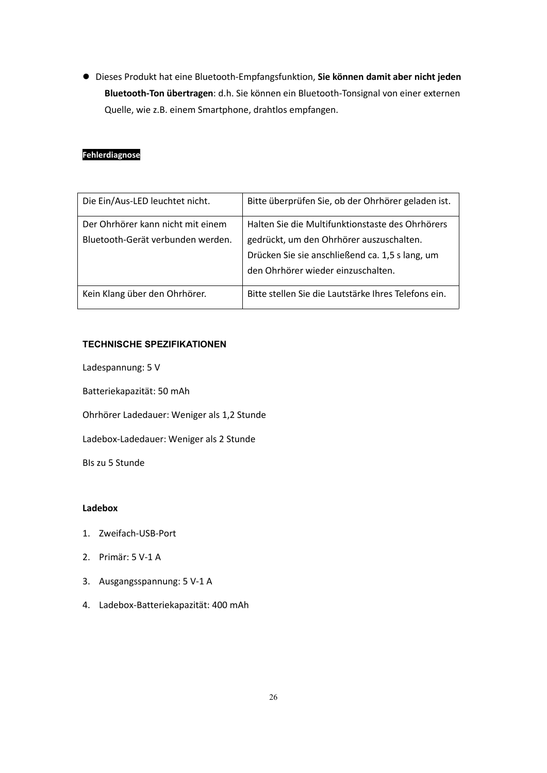Dieses Produkt hat eine Bluetooth-Empfangsfunktion, **Sie können damit aber nicht jeden Bluetooth-Ton übertragen**: d.h. Sie können ein Bluetooth-Tonsignal von einer externen Quelle, wie z.B. einem Smartphone, drahtlos empfangen.

# **Fehlerdiagnose**

| Die Ein/Aus-LED leuchtet nicht.   | Bitte überprüfen Sie, ob der Ohrhörer geladen ist.   |
|-----------------------------------|------------------------------------------------------|
| Der Ohrhörer kann nicht mit einem | Halten Sie die Multifunktionstaste des Ohrhörers     |
| Bluetooth-Gerät verbunden werden. | gedrückt, um den Ohrhörer auszuschalten.             |
|                                   | Drücken Sie sie anschließend ca. 1,5 s lang, um      |
|                                   | den Ohrhörer wieder einzuschalten.                   |
| Kein Klang über den Ohrhörer.     | Bitte stellen Sie die Lautstärke Ihres Telefons ein. |
|                                   |                                                      |

## **TECHNISCHE SPEZIFIKATIONEN**

Ladespannung: 5 V

Batteriekapazität: 50 mAh

Ohrhörer Ladedauer: Weniger als 1,2 Stunde

Ladebox-Ladedauer: Weniger als 2 Stunde

BIs zu 5 Stunde

# **Ladebox**

- 1. Zweifach-USB-Port
- 2. Primär: 5 V-1 A
- 3. Ausgangsspannung: 5 V-1 A
- 4. Ladebox-Batteriekapazität: 400 mAh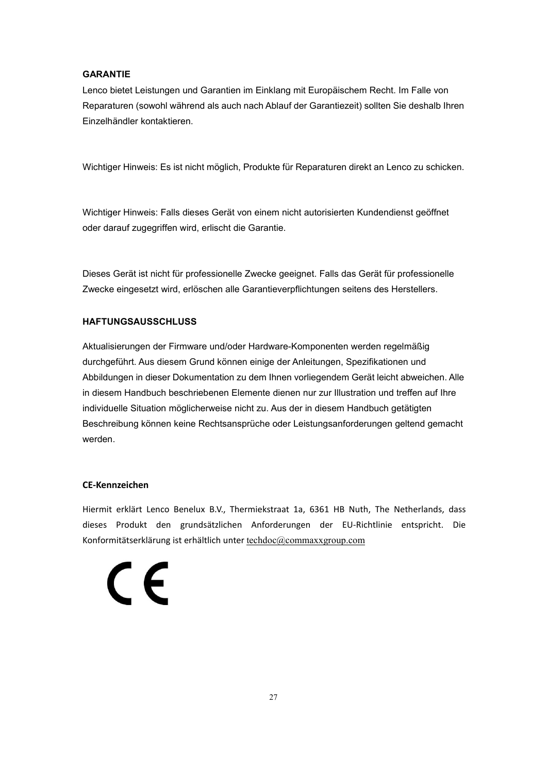## **GARANTIE**

Lenco bietet Leistungen und Garantien im Einklang mit Europäischem Recht. Im Falle von Reparaturen (sowohl während als auch nach Ablauf der Garantiezeit) sollten Sie deshalb Ihren Einzelhändler kontaktieren.

Wichtiger Hinweis: Es ist nicht möglich, Produkte für Reparaturen direkt an Lenco zu schicken.

Wichtiger Hinweis: Falls dieses Gerät von einem nicht autorisierten Kundendienst geöffnet oder darauf zugegriffen wird, erlischt die Garantie.

Dieses Gerät ist nicht für professionelle Zwecke geeignet. Falls das Gerät für professionelle Zwecke eingesetzt wird, erlöschen alle Garantieverpflichtungen seitens des Herstellers.

# **HAFTUNGSAUSSCHLUSS**

Aktualisierungen der Firmware und/oder Hardware-Komponenten werden regelmäßig durchgeführt. Aus diesem Grund können einige der Anleitungen, Spezifikationen und Abbildungen in dieser Dokumentation zu dem Ihnen vorliegendem Gerät leicht abweichen. Alle in diesem Handbuch beschriebenen Elemente dienen nur zur Illustration und treffen auf Ihre individuelle Situation möglicherweise nicht zu. Aus der in diesem Handbuch getätigten Beschreibung können keine Rechtsansprüche oder Leistungsanforderungen geltend gemacht werden.

#### **CE-Kennzeichen**

Hiermit erklärt Lenco Benelux B.V., Thermiekstraat 1a, 6361 HB Nuth, The Netherlands, dass dieses Produkt den grundsätzlichen Anforderungen der EU-Richtlinie entspricht. Die Konformitätserklärung ist erhältlich unter [techdoc@commaxxgroup.com](mailto:techdoc@commaxxgroup.com)

 $\epsilon$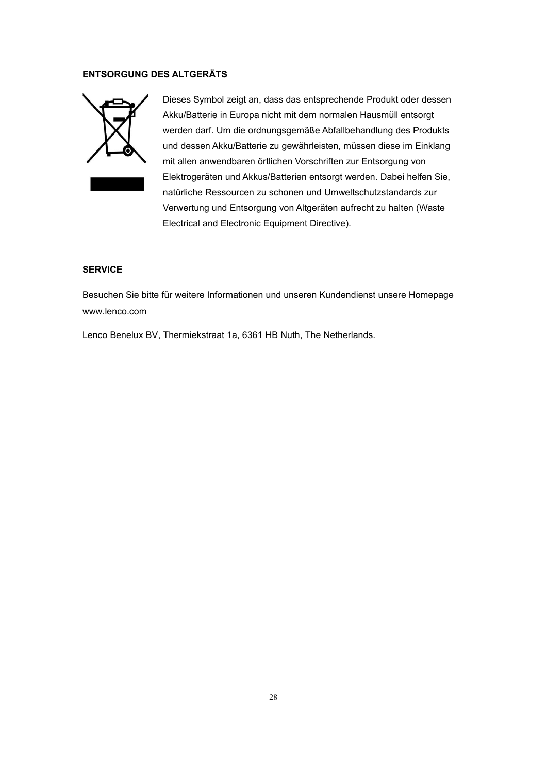#### **ENTSORGUNG DES ALTGERÄTS**



Dieses Symbol zeigt an, dass das entsprechende Produkt oder dessen Akku/Batterie in Europa nicht mit dem normalen Hausmüll entsorgt werden darf. Um die ordnungsgemäße Abfallbehandlung des Produkts und dessen Akku/Batterie zu gewährleisten, müssen diese im Einklang mit allen anwendbaren örtlichen Vorschriften zur Entsorgung von Elektrogeräten und Akkus/Batterien entsorgt werden. Dabei helfen Sie, natürliche Ressourcen zu schonen und Umweltschutzstandards zur Verwertung und Entsorgung von Altgeräten aufrecht zu halten (Waste Electrical and Electronic Equipment Directive).

# **SERVICE**

Besuchen Sie bitte für weitere Informationen und unseren Kundendienst unsere Homepage [www.lenco.com](http://www.lenco.com/)

Lenco Benelux BV, Thermiekstraat 1a, 6361 HB Nuth, The Netherlands.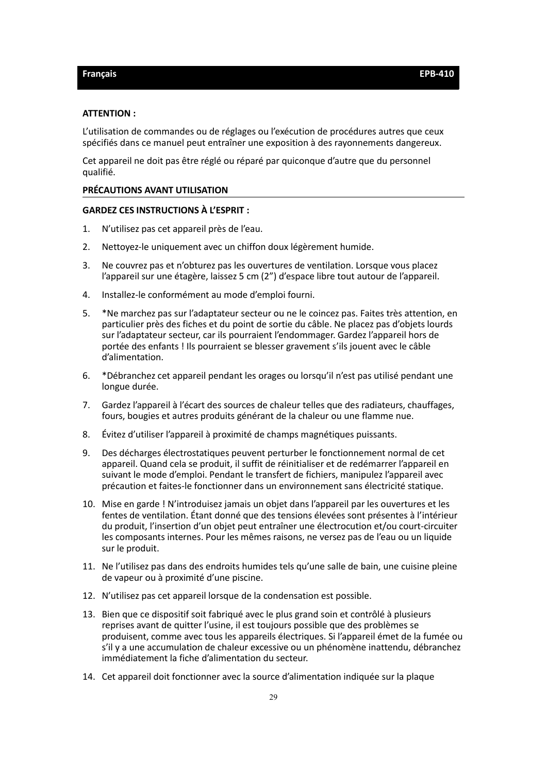#### <span id="page-28-0"></span>**ATTENTION :**

L'utilisation de commandes ou de réglages ou l'exécution de procédures autres que ceux spécifiés dans ce manuel peut entraîner une exposition à desrayonnements dangereux.

Cet appareil ne doit pas être réglé ou réparé par quiconque d'autre que du personnel qualifié.

#### **PRÉCAUTIONS AVANT UTILISATION**

#### **GARDEZ CES INSTRUCTIONS À L'ESPRIT :**

- 1. N'utilisez pas cet appareil près de l'eau.
- 2. Nettoyez-le uniquement avec un chiffon doux légèrement humide.
- 3. Ne couvrez pas et n'obturez pas les ouvertures de ventilation. Lorsque vous placez l'appareil sur une étagère, laissez 5 cm (2") d'espace libre tout autour de l'appareil.
- 4. Installez-le conformément au mode d'emploi fourni.
- 5. \*Ne marchez pas sur l'adaptateur secteur ou ne le coincez pas. Faites très attention, en particulier près des fiches et du point de sortie du câble. Ne placez pas d'objets lourds sur l'adaptateur secteur, car ils pourraient l'endommager. Gardez l'appareil hors de portée des enfants ! Ils pourraient se blesser gravement s'ils jouent avec le câble d'alimentation.
- 6. \*Débranchez cet appareil pendant les orages ou lorsqu'il n'est pas utilisé pendant une longue durée.
- 7. Gardez l'appareil à l'écart des sources de chaleur telles que des radiateurs, chauffages, fours, bougies et autres produits générant de la chaleur ou une flamme nue.
- 8. Évitez d'utiliser l'appareil à proximité de champs magnétiques puissants.
- 9. Des décharges électrostatiques peuvent perturber le fonctionnement normal de cet appareil. Quand cela se produit, il suffit de réinitialiser et de redémarrer l'appareil en suivant le mode d'emploi. Pendant le transfert de fichiers, manipulez l'appareil avec précaution et faites-le fonctionner dans un environnement sans électricité statique.
- 10. Mise en garde ! N'introduisez jamais un objet dans l'appareil par les ouvertures etles fentes de ventilation. Étant donné que des tensions élevées sont présentes à l'intérieur du produit, l'insertion d'un objet peut entraîner une électrocution et/ou court-circuiter les composants internes. Pour les mêmes raisons, ne versez pas de l'eau ou un liquide sur le produit.
- 11. Ne l'utilisez pas dans des endroits humides tels qu'une salle de bain, une cuisine pleine de vapeur ou à proximité d'une piscine.
- 12. N'utilisez pas cet appareil lorsque de la condensation est possible.
- 13. Bien que ce dispositif soit fabriqué avec le plus grand soin et contrôlé à plusieurs reprises avant de quitter l'usine, il est toujours possible que des problèmes se produisent, comme avec tous les appareils électriques. Si l'appareil émet de la fumée ou s'il y a une accumulation de chaleur excessive ou un phénomène inattendu, débranchez immédiatement la fiche d'alimentation du secteur.
- 14. Cet appareil doit fonctionner avec la source d'alimentation indiquée sur la plaque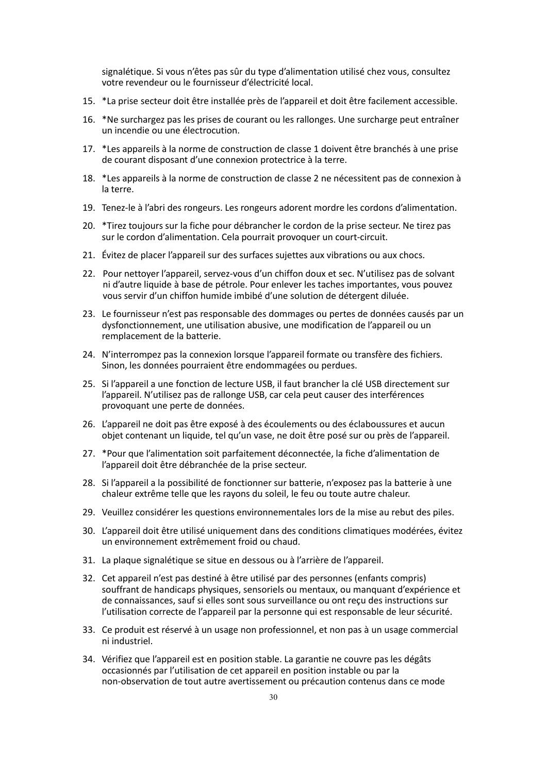signalétique. Si vous n'êtes pas sûr du type d'alimentation utilisé chez vous, consultez votre revendeur ou le fournisseur d'électricité local.

- 15. \*La prise secteur doit être installée près de l'appareil et doit être facilement accessible.
- 16. \*Ne surchargez pas les prises de courant ou les rallonges. Une surcharge peut entraîner un incendie ou une électrocution.
- 17. \*Les appareils à la norme de construction de classe 1 doivent être branchés à une prise de courant disposant d'une connexion protectrice à la terre.
- 18. \*Les appareils à la norme de construction de classe 2 ne nécessitent pas de connexion à la terre.
- 19. Tenez-le à l'abri des rongeurs. Les rongeurs adorent mordre les cordons d'alimentation.
- 20. \*Tirez toujours sur la fiche pour débrancher le cordon de la prise secteur. Ne tirez pas sur le cordon d'alimentation. Cela pourrait provoquer un court-circuit.
- 21. Évitez de placer l'appareil sur des surfaces sujettes aux vibrations ou aux chocs.
- 22. Pour nettoyer l'appareil, servez-vous d'un chiffon doux et sec. N'utilisez pas de solvant ni d'autre liquide à base de pétrole. Pour enlever les taches importantes, vous pouvez vous servir d'un chiffon humide imbibé d'une solution de détergent diluée.
- 23. Le fournisseur n'est pas responsable des dommages ou pertes de données causés par un dysfonctionnement, une utilisation abusive, une modification de l'appareil ou un
- 24. N'interrompez pas la connexion lorsque l'appareil formate ou transfère des fichiers. Sinon, les données pourraient être endommagées ou perdues.
- 25. Si l'appareil a une fonction de lecture USB, il faut brancher la clé USB directement sur l'appareil. N'utilisez pas de rallonge USB, car cela peut causer des interférences provoquant une perte de données.
- 26. L'appareil ne doit pas être exposé à des écoulements ou des éclaboussures et aucun objet contenant un liquide, tel qu'un vase, ne doit être posé sur ou près de l'appareil.
- 27. \*Pour que l'alimentation soit parfaitement déconnectée, la fiche d'alimentation de l'appareil doit être débranchée de la prise secteur.
- 28. Si l'appareil a la possibilité de fonctionner sur batterie, n'exposez pas la batterie à une chaleur extrême telle que les rayons du soleil, le feu ou toute autre chaleur.
- 29. Veuillez considérer les questions environnementales lors de la mise au rebut des piles.
- 30. L'appareil doit être utilisé uniquement dans des conditions climatiques modérées, évitez un environnement extrêmement froid ou chaud.
- 31. La plaque signalétique se situe en dessous ou à l'arrière de l'appareil.
- 32. Cet appareil n'est pas destiné à être utilisé par des personnes (enfants compris) souffrant de handicaps physiques, sensoriels ou mentaux, ou manquant d'expérience et de connaissances, sauf si elles sont sous surveillance ou ont reçu des instructions sur l'utilisation correcte de l'appareil par la personne qui est responsable de leur sécurité.
- 33. Ce produit est réservé à un usage non professionnel, et non pas à un usage commercial ni industriel.
- 34. Vérifiez que l'appareil est en position stable. La garantie ne couvre pas les dégâts occasionnés par l'utilisation de cet appareil en position instable ou par la non-observation de tout autre avertissement ou précaution contenus dans ce mode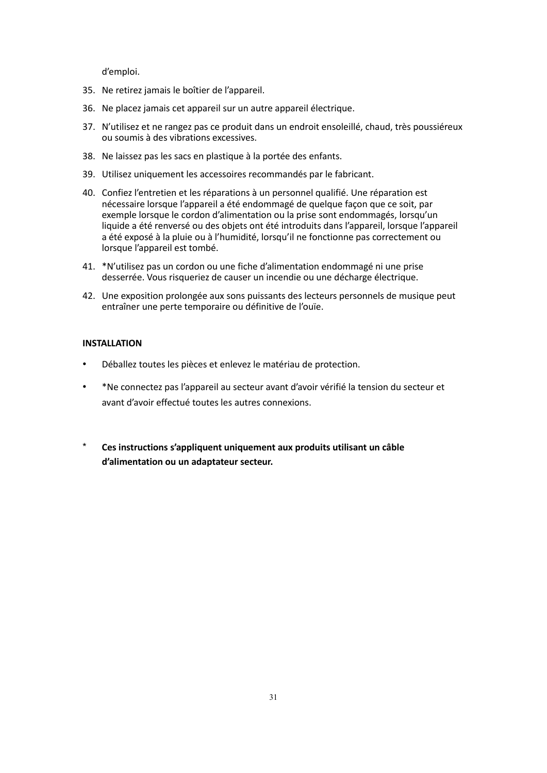d'emploi.

- 35. Ne retirez jamais le boîtier de l'appareil.
- 36. Ne placez jamais cet appareil sur un autre appareil électrique.
- 37. N'utilisez et ne rangez pas ce produit dans un endroit ensoleillé, chaud, très poussiéreux ou soumis à des vibrations excessives.
- 38. Ne laissez pas les sacs en plastique à la portée des enfants.
- 39. Utilisez uniquement les accessoires recommandés par le fabricant.
- 40. Confiez l'entretien et les réparations à un personnel qualifié. Une réparation est nécessaire lorsque l'appareil a été endommagé de quelque façon que ce soit, par exemple lorsque le cordon d'alimentation ou la prise sont endommagés, lorsqu'un liquide a été renversé ou des objets ont été introduits dans l'appareil, lorsque l'appareil a été exposé à la pluie ou à l'humidité, lorsqu'il ne fonctionne pas correctement ou lorsque l'appareil est tombé.
- 41. \*N'utilisez pas un cordon ou une fiche d'alimentation endommagé ni une prise desserrée. Vous risqueriez de causerun incendie ou une décharge électrique.
- 42. Une exposition prolongée aux sons puissants des lecteurs personnels de musique peut entraîner une perte temporaire ou définitive de l'ouïe.

## **INSTALLATION**

- Déballez toutes les pièces et enlevez le matériau de protection.
- \*Ne connectez pas l'appareil au secteur avant d'avoir vérifié la tension du secteur et avant d'avoir effectué toutes les autres connexions.
- \* **Ces instructions s'appliquent uniquement aux produits utilisant un câble d'alimentation ou un adaptateur secteur.**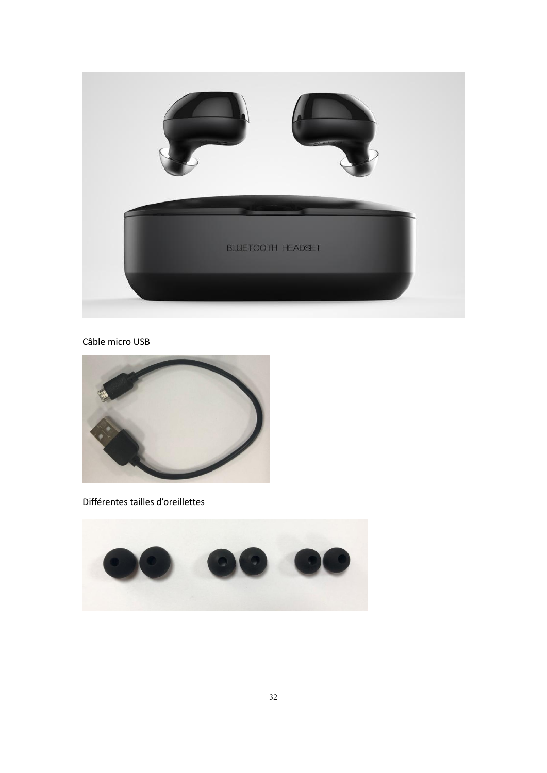

Câble micro USB



Différentes tailles d'oreillettes

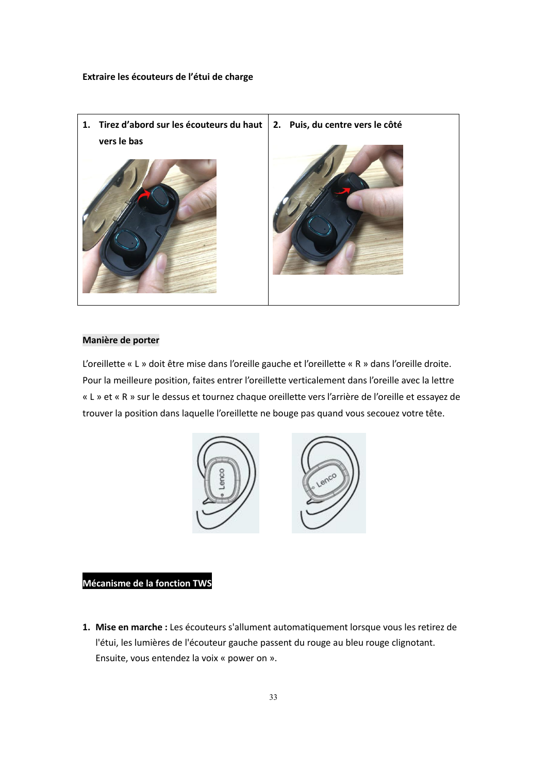

## **Manière de porter**

L'oreillette « L » doit être mise dans l'oreille gauche et l'oreillette « R » dans l'oreille droite. Pour la meilleure position, faites entrer l'oreillette verticalement dans l'oreille avec la lettre « L » et « R » sur le dessus et tournez chaque oreillette vers l'arrière de l'oreille et essayez de trouver la position dans laquelle l'oreillette ne bouge pas quand vous secouez votre tête.



# **Mécanisme de la fonction TWS**

**1. Mise en marche :** Les écouteurs s'allument automatiquement lorsque vous les retirez de l'étui, les lumières de l'écouteur gauche passent du rouge au bleu rouge clignotant. Ensuite, vous entendez la voix « power on ».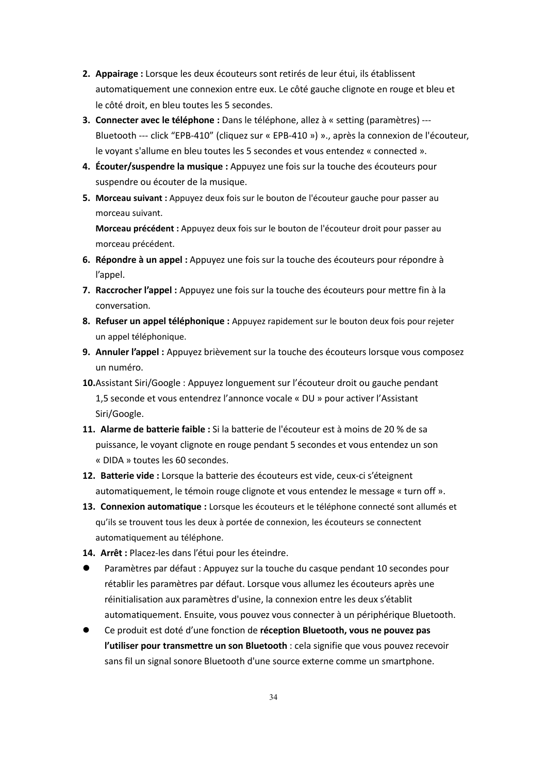- **2. Appairage :** Lorsque les deux écouteurs sont retirés de leur étui, ils établissent automatiquement une connexion entre eux. Le côté gauche clignote en rouge et bleu et le côté droit, en bleu toutes les 5 secondes.
- **3. Connecter avec le téléphone :** Dans le téléphone, allez à « setting (paramètres) --- Bluetooth --- click "EPB-410" (cliquez sur « EPB-410 ») »., après la connexion de l'écouteur, le voyant s'allume en bleu toutes les 5 secondes et vous entendez « connected ».
- **4. Écouter/suspendre la musique :** Appuyez une fois sur la touche des écouteurs pour suspendre ou écouter de la musique.
- **5. Morceau suivant :** Appuyez deux fois sur le bouton de l'écouteur gauche pour passer au morceau suivant.

**Morceau précédent :**Appuyez deux fois sur le bouton de l'écouteur droit pour passer au morceau précédent.

- **6. Répondre à un appel :** Appuyez une fois sur la touche des écouteurs pour répondre à l'appel.
- **7. Raccrocher l'appel :** Appuyez une fois sur la touche des écouteurs pour mettre fin à la conversation.
- **8. Refuser un appel téléphonique :** Appuyez rapidement sur le bouton deux fois pour rejeter un appel téléphonique.
- **9. Annuler l'appel :** Appuyez brièvement sur la touche des écouteurs lorsque vous composez un numéro.
- **10.**Assistant Siri/Google : Appuyez longuement sur l'écouteur droit ou gauche pendant 1,5 seconde et vous entendrez l'annonce vocale « DU » pour activer l'Assistant Siri/Google.
- **11. Alarme de batterie faible :** Sila batterie de l'écouteur est à moins de 20 % de sa puissance, le voyant clignote en rouge pendant 5 secondes et vous entendez un son « DIDA » toutes les 60 secondes.
- **12. Batterie vide :** Lorsque la batterie des écouteurs est vide, ceux-ci s'éteignent automatiquement, le témoin rouge clignote et vous entendez le message « turn off ».
- **13. Connexion automatique :** Lorsque les écouteurs etle téléphone connecté sont allumés et qu'ils se trouvent tous les deux à portée de connexion, les écouteurs se connectent automatiquement au téléphone.
- **14. Arrêt :** Placez-les dans l'étui pour les éteindre.
- Paramètres pardéfaut : Appuyez sur la touche du casque pendant 10 secondes pour rétablir les paramètres par défaut. Lorsque vous allumez les écouteurs après une réinitialisation aux paramètres d'usine, la connexion entre les deux s'établit automatiquement. Ensuite, vous pouvez vous connecter à un périphérique Bluetooth.
- Ce produit est doté d'une fonction de **réception Bluetooth, vous ne pouvez pas l'utiliser pour transmettre un son Bluetooth** : cela signifie que vous pouvez recevoir sans fil un signal sonore Bluetooth d'une source externe comme un smartphone.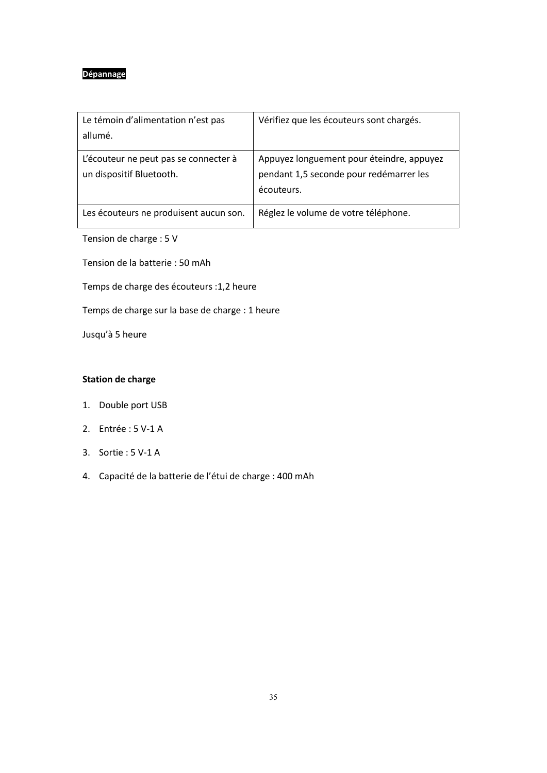# **Dépannage**

| Le témoin d'alimentation n'est pas<br>allumé.                     | Vérifiez que les écouteurs sont chargés.                                                           |
|-------------------------------------------------------------------|----------------------------------------------------------------------------------------------------|
| L'écouteur ne peut pas se connecter à<br>un dispositif Bluetooth. | Appuyez longuement pour éteindre, appuyez<br>pendant 1,5 seconde pour redémarrer les<br>écouteurs. |
| Les écouteurs ne produisent aucun son.                            | Réglez le volume de votre téléphone.                                                               |
| Tension de charge : 5 V                                           |                                                                                                    |

Tension de la batterie :50 mAh

Temps de charge des écouteurs :1,2 heure

Temps de charge sur la base de charge : 1 heure

Jusqu'à 5 heure

# **Station de charge**

- 1. Double port USB
- 2. Entrée : 5 V-1 A
- 3. Sortie : 5 V-1 A
- 4. Capacité de la batterie de l'étui de charge : 400 mAh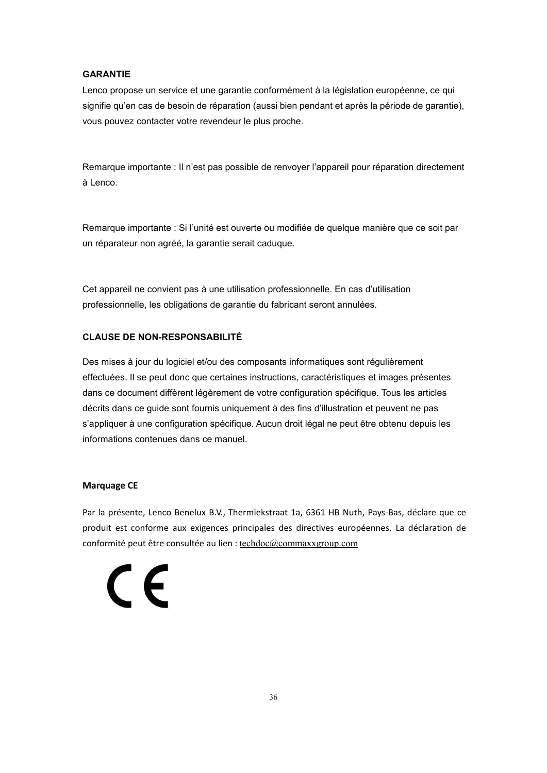#### **GARANTIE**

Lenco propose un service et une garantie conformément à la législation européenne, ce qui signifie qu'en cas de besoin de réparation (aussi bien pendant et après la période de garantie), vous pouvez contacter votre revendeur le plus proche.

Remarque importante : Iln'est pas possible de renvoyer l'appareil pour réparation directement à Lenco.

Remarque importante : Si l'unité est ouverte ou modifiée de quelque manière que ce soit par un réparateur non agréé, la garantie serait caduque.

Cet appareil ne convient pas à une utilisation professionnelle. En cas d'utilisation professionnelle, les obligations de garantie du fabricant seront annulées.

# **CLAUSE DE NON-RESPONSABILITÉ**

Des mises à jour du logiciel et/ou des composants informatiques sont régulièrement effectuées. Il se peut donc que certaines instructions, caractéristiques et images présentes dans ce document diffèrent légèrement de votre configuration spécifique. Tous les articles décrits dans ce guide sont fournis uniquement à des fins d'illustration et peuvent ne pas s'appliquer à une configuration spécifique. Aucun droit légal ne peut être obtenu depuis les informations contenues dans ce manuel.

#### **Marquage CE**

Par la présente, Lenco Benelux B.V., Thermiekstraat 1a, 6361 HB Nuth, Pays-Bas, déclare que ce produit est conforme aux exigences principales des directives européennes. La déclaration de conformité peut être consultée au lien : [techdoc@commaxxgroup.com](mailto:techdoc@commaxxgroup.com)

# $\epsilon$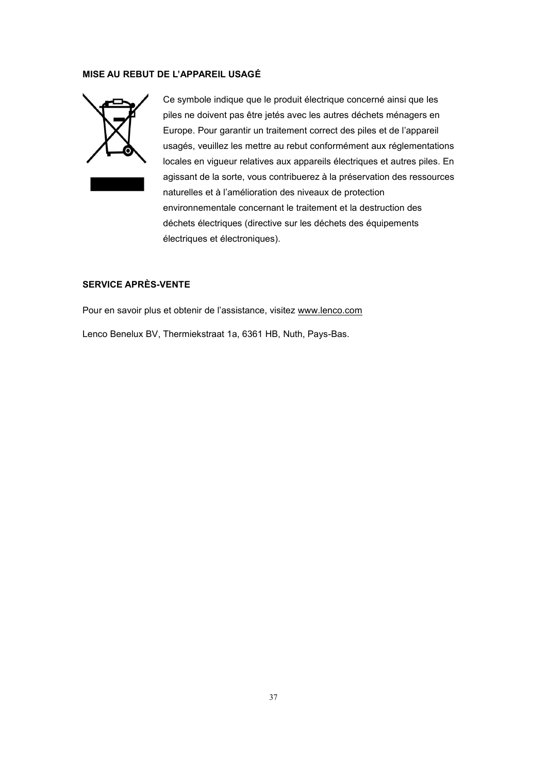#### **MISE AU REBUT DE L'APPAREIL USAGÉ**



Ce symbole indique que le produit électrique concerné ainsi que les piles ne doivent pas être jetés avec les autres déchets ménagers en Europe. Pour garantir un traitement correct des piles et de l'appareil usagés, veuillez les mettre au rebut conformément aux réglementations locales en vigueur relatives aux appareils électriques et autres piles. En agissant de la sorte, vous contribuerez à la préservation des ressources naturelles et à l'amélioration des niveaux de protection environnementale concernant le traitement et la destruction des déchets électriques (directive sur les déchets des équipements électriques et électroniques).

# **SERVICE APRÈS-VENTE**

Pour en savoir plus et obtenir de l'assistance, visitez [www.lenco.com](http://www.lenco.com/) Lenco Benelux BV, Thermiekstraat 1a, 6361 HB, Nuth, Pays-Bas.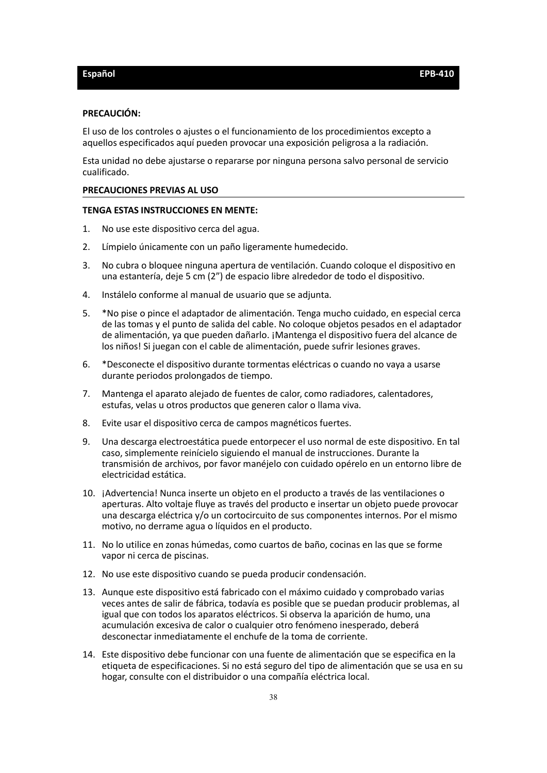#### <span id="page-37-0"></span>**PRECAUCIÓN:**

El uso de loscontroles o ajustes o el funcionamiento de losprocedimientos excepto a aquellos especificados aquí pueden provocar una exposición peligrosa a la radiación.

Esta unidad no debe ajustarse o repararse por ninguna persona salvo personal de servicio cualificado.

#### **PRECAUCIONES PREVIAS AL USO**

#### **TENGA ESTAS INSTRUCCIONES EN MENTE:**

- 1. No use este dispositivo cerca del agua.
- 2. Límpielo únicamente con un paño ligeramente humedecido.
- 3. No cubra o bloquee ninguna apertura de ventilación. Cuando coloque el dispositivo en una estantería, deje 5 cm (2") de espacio libre alrededor de todo el dispositivo.
- 
- 4. Instálelo conforme al manual de usuario que se adjunta.<br>5. \*No pise o pince el adaptador de alimentación. Tenga mucho cuidado, en especial cerca de las tomas y el punto de salida del cable. No coloque objetos pesados en el adaptador de alimentación, ya que pueden dañarlo. ¡Mantenga el dispositivo fuera del alcance de los niños! Si juegan con el cable de alimentación, puede sufrir lesiones graves.
- 6. \*Desconecte el dispositivo durante tormentas eléctricas o cuando no vaya a usarse durante periodos prolongados de tiempo.
- 7. Mantenga el aparato alejado de fuentes de calor, como radiadores, calentadores, estufas, velas u otros productos que generen calor o llama viva.
- 8. Evite usar el dispositivo cerca de campos magnéticos fuertes.
- 9. Una descarga electroestática puede entorpecer el uso normal de este dispositivo. En tal caso, simplemente reinícielo siguiendo el manual de instrucciones. Durante la transmisión de archivos, por favor manéjelo con cuidado opérelo en un entorno libre de electricidad estática.
- 10. ¡Advertencia! Nunca inserte un objeto en el producto a través de las ventilaciones o aperturas. Alto voltaje fluye as través del producto e insertar un objeto puede provocar una descarga eléctrica y/o un cortocircuito de sus componentes internos. Por el mismo motivo, no derrame agua o líquidos en el producto.<br>11. No lo utilice en zonas húmedas, como cuartos de baño, cocinas en las que se forme
- vapor ni cerca de piscinas.
- 12. No use este dispositivo cuando se pueda producir condensación.
- 13. Aunque este dispositivo está fabricado con el máximo cuidado y comprobado varias veces antes de salir de fábrica, todavía es posible que se puedan producir problemas, al igual que con todos los aparatos eléctricos. Si observa la aparición de humo, una acumulación excesiva de calor o cualquier otro fenómeno inesperado, deberá desconectar inmediatamente el enchufe de la toma de corriente.
- 14. Este dispositivo debe funcionar con una fuente de alimentación que se especifica en la etiqueta de especificaciones. Si no está seguro del tipo de alimentación que se usa en su hogar, consulte con el distribuidor o una compañía eléctrica local.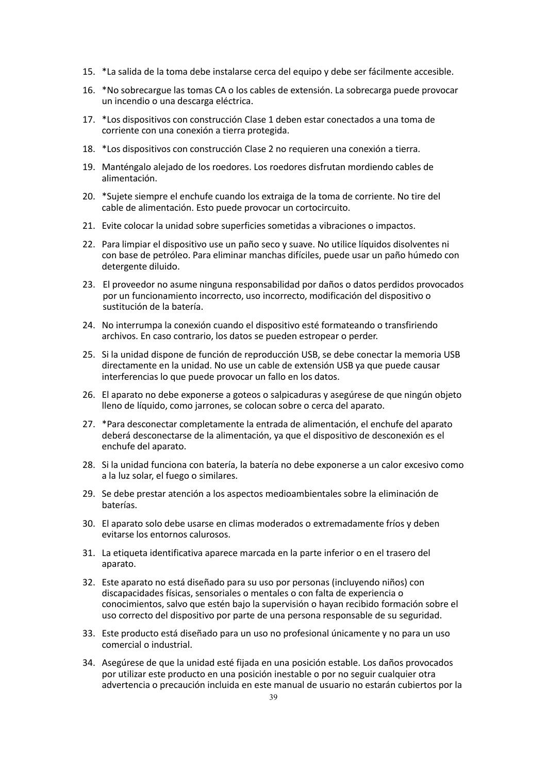- 15. \*La salida de la toma debe instalarse cerca del equipo y debe ser fácilmente accesible.
- 16. \*No sobrecargue las tomas CA o los cables de extensión. La sobrecarga puede provocar un incendio o una descarga eléctrica.
- 17. \*Los dispositivos con construcción Clase 1 deben estar conectados a una toma de corriente con una conexión <sup>a</sup> tierra protegida.18. \*Los dispositivos con construcción Clase <sup>2</sup> no requieren una conexión <sup>a</sup> tierra.
- 
- 19. Manténgalo alejado de losroedores. Los roedores disfrutan mordiendo cables de alimentación.
- 20. \*Sujete siempre el enchufe cuando los extraiga de la toma de corriente. No tire del cable de alimentación. Esto puede provocar un cortocircuito.
- 21. Evite colocar la unidad sobre superficies sometidas a vibraciones o impactos.
- 22. Para limpiar el dispositivo use un paño seco y suave. No utilice líquidos disolventes ni con base de petróleo. Para eliminar manchas difíciles, puede usar un paño húmedo con detergente diluido.
- 23. El proveedor no asume ninguna responsabilidad por daños o datos perdidos provocados por un funcionamiento incorrecto, uso incorrecto, modificación del dispositivo o sustitución de la batería.
- 24. No interrumpa la conexión cuando el dispositivo esté formateando o transfiriendo archivos. En caso contrario, los datos se pueden estropear o perder.
- 25. Si la unidad dispone de función de reproducción USB, se debe conectar la memoria USB directamente en launidad. No use un cable de extensión USB ya que puede causar interferencias lo que puede provocar un fallo en los datos.
- 26. El aparato no debe exponerse a goteos o salpicaduras y asegúrese de que ningún objeto lleno de líquido, como jarrones, se colocan sobre o cerca del aparato.
- 27. \*Para desconectar completamente la entrada de alimentación, el enchufe del aparato deberá desconectarse de la alimentación, ya que el dispositivo de desconexión es el enchufe del aparato.
- 28. Si la unidad funciona con batería, la batería no debe exponerse a un calor excesivo como a la luz solar, el fuego o similares.
- 29. Se debe prestar atención a los aspectos medioambientales sobre la eliminación de baterías.
- 30. El aparato solo debe usarse en climas moderados o extremadamente fríos y deben evitarse los entornos calurosos.
- 31. La etiqueta identificativa aparece marcada en laparte inferior o en el trasero del aparato.
- 32. Este aparato no está diseñado para su uso por personas (incluyendo niños) con discapacidades físicas, sensoriales o mentales o con falta de experiencia o conocimientos, salvo que estén bajo lasupervisión o hayan recibido formación sobre el uso correcto del dispositivo por parte de una persona responsable de su seguridad.
- 33. Este producto está diseñado para un uso no profesional únicamente y no para un uso comercial o industrial.
- 34. Asegúrese de que la unidad esté fijada en una posición estable. Los daños provocados por utilizar este producto en una posición inestable o por no seguir cualquier otra advertencia o precaución incluida en este manual de usuario no estarán cubiertos por la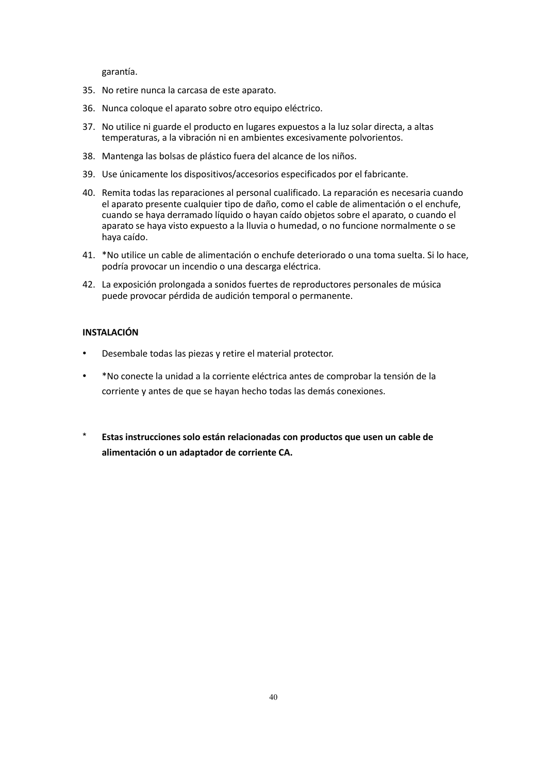garantía.

- 35. No retire nunca la carcasa de este aparato.
- 36. Nunca coloque el aparato sobre otro equipo eléctrico.
- 37. No utilice ni guarde el producto en lugares expuestos a la luz solar directa, a altas temperaturas, a la vibración ni en ambientes excesivamente polvorientos.
- 
- 38. Mantenga las bolsas de plástico fuera del alcance de los niños.<br>39. Use únicamente los dispositivos/accesorios especificados por el fabricante.
- 40. Remita todas las reparaciones al personal cualificado. La reparación es necesaria cuando el aparato presente cualquier tipo de daño, como el cable de alimentación o el enchufe, cuando se haya derramado líquido o hayan caído objetos sobre el aparato, o cuando el aparato se haya visto expuesto a la lluvia o humedad, o no funcione normalmente o se haya caído.
- 41. \*No utilice un cable de alimentación o enchufe deteriorado o una toma suelta. Si lo hace, podría provocar un incendio o una descarga eléctrica.
- 42. La exposición prolongada a sonidos fuertes de reproductores personales de música puede provocar pérdida de audición temporal o permanente.

## **INSTALACIÓN**

- Desembale todas las piezas y retire el material protector.
- \*No conecte la unidad a la corriente eléctrica antes de comprobar la tensión de la corriente y antes de que se hayan hecho todas las demás conexiones.
- \* **Estas instrucciones solo están relacionadas con productos que usen un cable de alimentación o un adaptador de corriente CA.**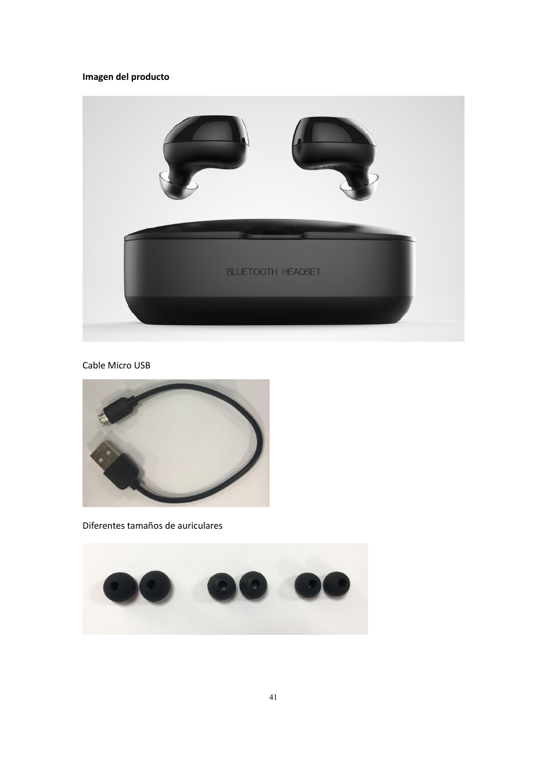# **Imagen del producto**



Cable Micro USB



Diferentes tamaños de auriculares

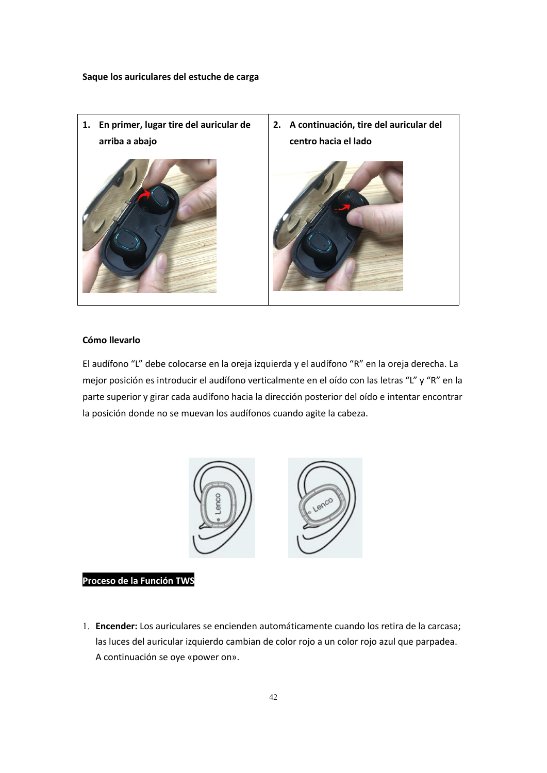

## **Cómo llevarlo**

El audífono "L" debe colocarse en la oreja izquierda y el audífono "R" en la oreja derecha. La mejor posición es introducir el audífono verticalmente en el oído con las letras "L" y "R" en la parte superior y girar cada audífono hacia la dirección posterior del oído e intentar encontrar la posición donde no se muevan los audífonos cuando agite la cabeza.



#### **Proceso de la Función TWS**

1. **Encender:** Los auriculares se encienden automáticamente cuando los retira de la carcasa; las luces del auricular izquierdo cambian de color rojo a un color rojo azul que parpadea. A continuación se oye «power on».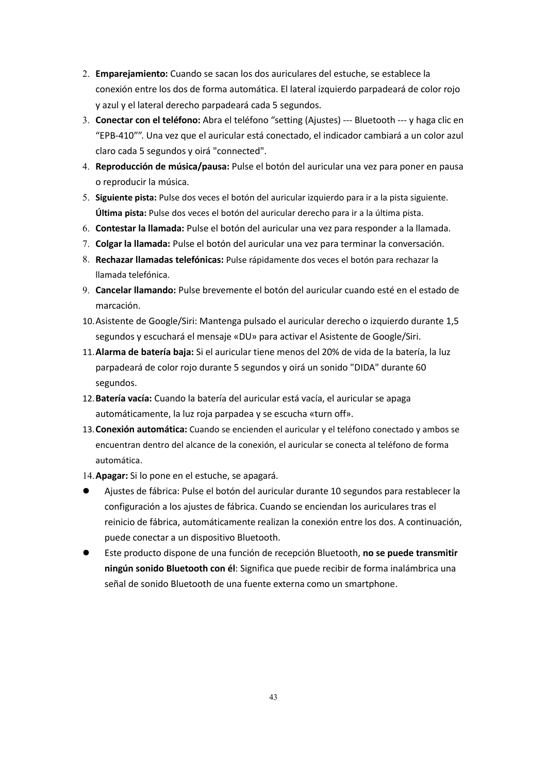- 2. **Emparejamiento:** Cuando se sacan los dos auriculares del estuche, se establece la conexión entre los dos de forma automática. El lateral izquierdo parpadeará de color rojo y azul y el lateral derecho parpadeará cada 5 segundos.
- 3. **Conectar con el teléfono:**Abra el teléfono "setting (Ajustes) --- Bluetooth --- y haga clic en "EPB-410"". Una vez que el auricular está conectado, el indicador cambiará a un color azul claro cada 5 segundos y oirá "connected".
- 4. **Reproducción de música/pausa:** Pulse el botón del auricular una vez para poner en pausa o reproducir la música.
- 5. **Siguiente pista:** Pulse dos veces el botón del auricular izquierdo para ir a la pista siguiente. **Última pista:** Pulse dos veces el botón del auricular derecho para ir a la última pista.
- 6. **Contestar la llamada:** Pulse el botón delauricular una vez para responder a la llamada.
- 7. **Colgar la llamada:** Pulse el botón delauricular una vez para terminar la conversación.
- 8. **Rechazar llamadas telefónicas:** Pulse rápidamente dos veces el botón para rechazar la llamada telefónica.
- 9. **Cancelar llamando:** Pulse brevemente el botón delauricular cuando esté en el estado de marcación.
- 10.Asistente de Google/Siri: Mantenga pulsado el auricular derecho o izquierdo durante 1,5 segundos y escuchará el mensaje «DU» para activar el Asistente de Google/Siri.
- 11.**Alarma de batería baja:** Siel auricular tiene menos del 20% de vida de la batería, la luz parpadeará de color rojo durante 5 segundos y oirá un sonido "DIDA" durante 60 segundos.
- 12.**Batería vacía:** Cuando labatería del auricular está vacía, el auricular se apaga automáticamente, la luz roja parpadea y se escucha «turn off».
- 13.**Conexión automática:** Cuando se encienden el auricular y el teléfono conectado y ambos se encuentran dentro del alcance de la conexión, el auricular se conecta al teléfono de forma automática.

14.**Apagar:** Silo pone en el estuche, se apagará.

- Ajustes de fábrica: Pulse el botón del auricular durante 10 segundos para restablecer la configuración a los ajustes de fábrica. Cuando se enciendan los auriculares tras el reinicio de fábrica, automáticamente realizan la conexión entre los dos. A continuación, puede conectar a un dispositivo Bluetooth.
- Este producto dispone de una función de recepción Bluetooth, **no se puede transmitir ningún sonido Bluetooth con él**: Significa que puede recibir de forma inalámbrica una señal de sonido Bluetooth de una fuente externa como un smartphone.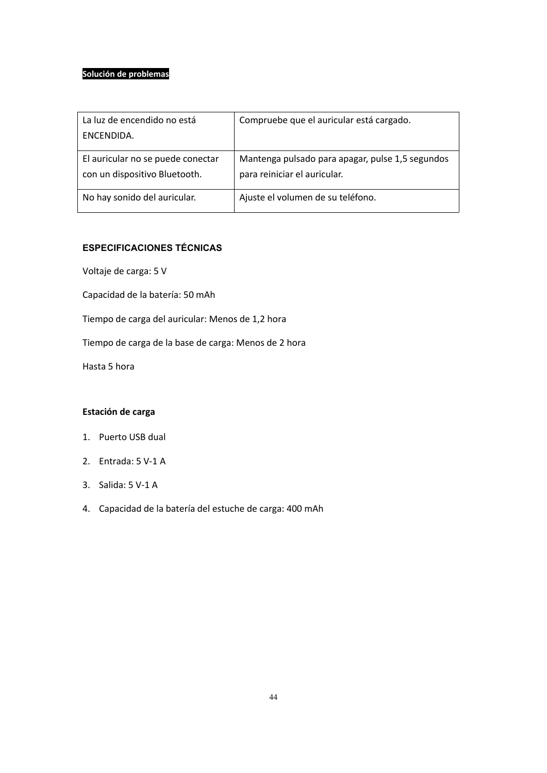## **Solución de problemas**

| La luz de encendido no está<br>ENCENDIDA.                          | Compruebe que el auricular está cargado.                                         |
|--------------------------------------------------------------------|----------------------------------------------------------------------------------|
| El auricular no se puede conectar<br>con un dispositivo Bluetooth. | Mantenga pulsado para apagar, pulse 1,5 segundos<br>para reiniciar el auricular. |
| No hay sonido del auricular.                                       | Ajuste el volumen de su teléfono.                                                |

# **ESPECIFICACIONES TÉCNICAS**

Voltaje de carga: 5 V

Capacidad de la batería: 50 mAh

Tiempo de carga del auricular: Menos de 1,2 hora

Tiempo de carga de la base de carga: Menos de 2 hora

Hasta 5 hora

# **Estación de carga**

- 1. Puerto USB dual
- 2. Entrada: 5 V-1 A
- 3. Salida: 5 V-1 A
- 4. Capacidad de la batería del estuche de carga: 400 mAh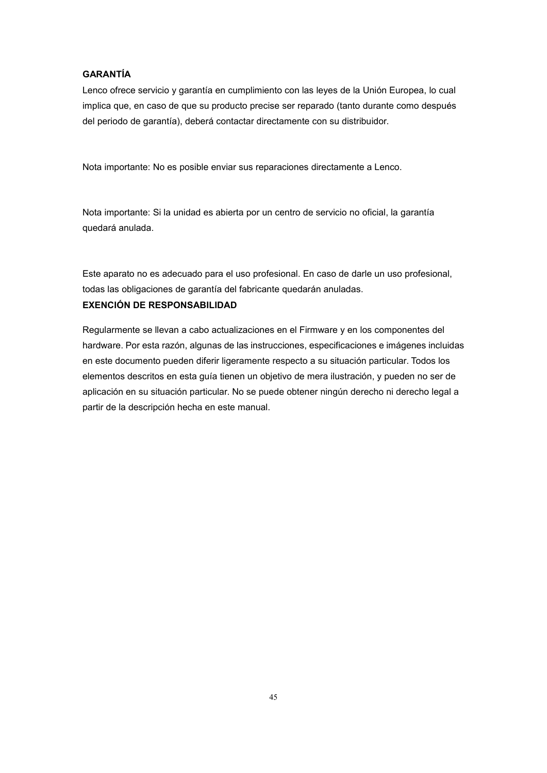## **GARANTÍA**

Lenco ofrece servicio y garantía en cumplimiento con las leyes de la Unión Europea, lo cual implica que, en caso de que su producto precise ser reparado (tanto durante como después del periodo de garantía), deberá contactar directamente con su distribuidor.

Nota importante:No es posible enviar sus reparaciones directamente a Lenco.

Nota importante: Si la unidad es abierta por un centro de servicio no oficial, la garantía quedará anulada.

Este aparato no es adecuado para el uso profesional. En caso de darle un uso profesional, todas las obligaciones de garantía del fabricante quedarán anuladas.

# **EXENCIÓN DE RESPONSABILIDAD**

Regularmente se llevan a cabo actualizaciones en el Firmware y en los componentes del hardware. Por esta razón, algunas de las instrucciones, especificaciones e imágenes incluidas en este documento pueden diferir ligeramente respecto a su situación particular. Todos los elementos descritos en esta guía tienen un objetivo de mera ilustración, y pueden no ser de aplicación en su situación particular. No se puede obtener ningún derecho ni derecho legal a partir de la descripción hecha en este manual.